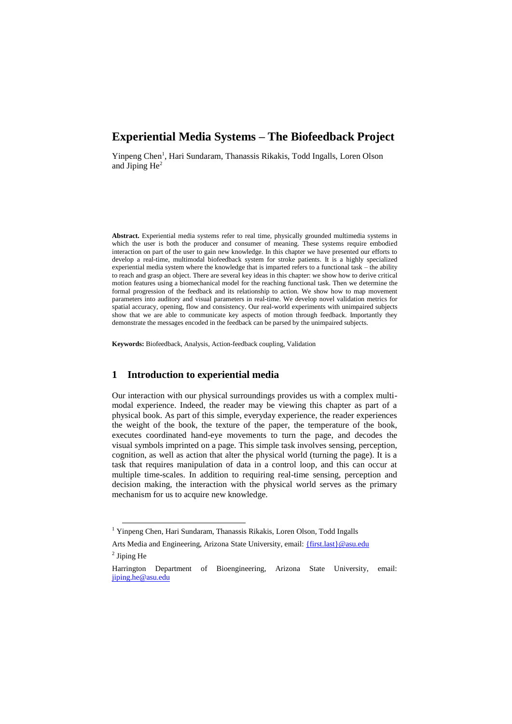Yinpeng Chen<sup>1</sup>, Hari Sundaram, Thanassis Rikakis, Todd Ingalls, Loren Olson and Jiping He<sup>2</sup>

**Abstract.** Experiential media systems refer to real time, physically grounded multimedia systems in which the user is both the producer and consumer of meaning. These systems require embodied interaction on part of the user to gain new knowledge. In this chapter we have presented our efforts to develop a real-time, multimodal biofeedback system for stroke patients. It is a highly specialized experiential media system where the knowledge that is imparted refers to a functional task – the ability to reach and grasp an object. There are several key ideas in this chapter: we show how to derive critical motion features using a biomechanical model for the reaching functional task. Then we determine the formal progression of the feedback and its relationship to action. We show how to map movement parameters into auditory and visual parameters in real-time. We develop novel validation metrics for spatial accuracy, opening, flow and consistency. Our real-world experiments with unimpaired subjects show that we are able to communicate key aspects of motion through feedback. Importantly they demonstrate the messages encoded in the feedback can be parsed by the unimpaired subjects.

**Keywords:** Biofeedback, Analysis, Action-feedback coupling, Validation

# **1 Introduction to experiential media**

 $\overline{a}$ 

Our interaction with our physical surroundings provides us with a complex multimodal experience. Indeed, the reader may be viewing this chapter as part of a physical book. As part of this simple, everyday experience, the reader experiences the weight of the book, the texture of the paper, the temperature of the book, executes coordinated hand-eye movements to turn the page, and decodes the visual symbols imprinted on a page. This simple task involves sensing, perception, cognition, as well as action that alter the physical world (turning the page). It is a task that requires manipulation of data in a control loop, and this can occur at multiple time-scales. In addition to requiring real-time sensing, perception and decision making, the interaction with the physical world serves as the primary mechanism for us to acquire new knowledge.

<sup>&</sup>lt;sup>1</sup> Yinpeng Chen, Hari Sundaram, Thanassis Rikakis, Loren Olson, Todd Ingalls

Arts Media and Engineering, Arizona State University, email[: {first.last}@asu.edu](mailto:%7bfirst.last%7d@asu.edu)  $2$  Jiping He

Harrington Department of Bioengineering, Arizona State University, email: [jiping.he@asu.edu](mailto:jiping.he@asu.edu)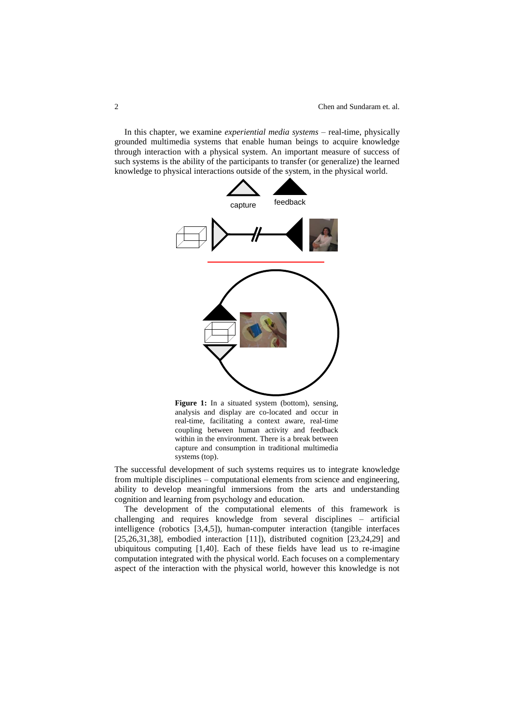In this chapter, we examine *experiential media systems* – real-time, physically grounded multimedia systems that enable human beings to acquire knowledge through interaction with a physical system. An important measure of success of such systems is the ability of the participants to transfer (or generalize) the learned knowledge to physical interactions outside of the system, in the physical world.



Figure 1: In a situated system (bottom), sensing, analysis and display are co-located and occur in real-time, facilitating a context aware, real-time coupling between human activity and feedback within in the environment. There is a break between capture and consumption in traditional multimedia systems (top).

The successful development of such systems requires us to integrate knowledge from multiple disciplines – computational elements from science and engineering, ability to develop meaningful immersions from the arts and understanding cognition and learning from psychology and education.

The development of the computational elements of this framework is challenging and requires knowledge from several disciplines – artificial intelligence (robotics [3,4,5]), human-computer interaction (tangible interfaces [25,26,31,38], embodied interaction [11]), distributed cognition [23,24,29] and ubiquitous computing [1,40]. Each of these fields have lead us to re-imagine computation integrated with the physical world. Each focuses on a complementary aspect of the interaction with the physical world, however this knowledge is not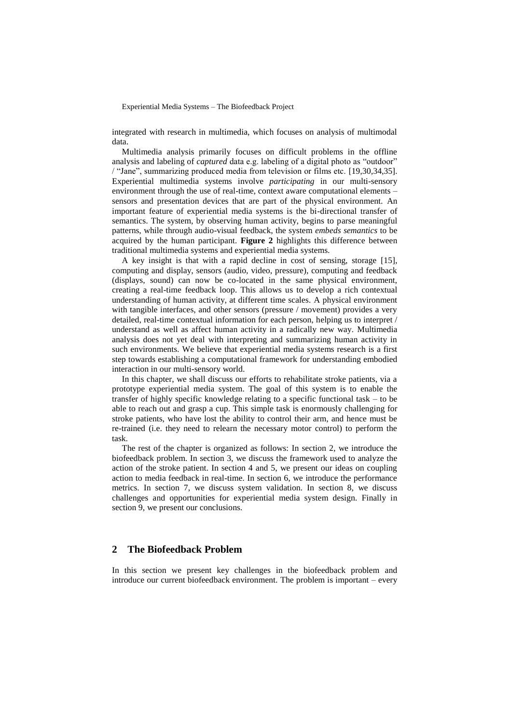integrated with research in multimedia, which focuses on analysis of multimodal data.

Multimedia analysis primarily focuses on difficult problems in the offline analysis and labeling of *captured* data e.g. labeling of a digital photo as "outdoor" / "Jane", summarizing produced media from television or films etc. [19,30,34,35]. Experiential multimedia systems involve *participating* in our multi-sensory environment through the use of real-time, context aware computational elements – sensors and presentation devices that are part of the physical environment. An important feature of experiential media systems is the bi-directional transfer of semantics. The system, by observing human activity, begins to parse meaningful patterns, while through audio-visual feedback, the system *embeds semantics* to be acquired by the human participant. **[Figure 2](#page-6-0)** highlights this difference between traditional multimedia systems and experiential media systems.

A key insight is that with a rapid decline in cost of sensing, storage [15], computing and display, sensors (audio, video, pressure), computing and feedback (displays, sound) can now be co-located in the same physical environment, creating a real-time feedback loop. This allows us to develop a rich contextual understanding of human activity, at different time scales. A physical environment with tangible interfaces, and other sensors (pressure / movement) provides a very detailed, real-time contextual information for each person, helping us to interpret / understand as well as affect human activity in a radically new way. Multimedia analysis does not yet deal with interpreting and summarizing human activity in such environments. We believe that experiential media systems research is a first step towards establishing a computational framework for understanding embodied interaction in our multi-sensory world.

In this chapter, we shall discuss our efforts to rehabilitate stroke patients, via a prototype experiential media system. The goal of this system is to enable the transfer of highly specific knowledge relating to a specific functional task – to be able to reach out and grasp a cup. This simple task is enormously challenging for stroke patients, who have lost the ability to control their arm, and hence must be re-trained (i.e. they need to relearn the necessary motor control) to perform the task.

The rest of the chapter is organized as follows: In section 2, we introduce the biofeedback problem. In section 3, we discuss the framework used to analyze the action of the stroke patient. In section 4 and 5, we present our ideas on coupling action to media feedback in real-time. In section 6, we introduce the performance metrics. In section 7, we discuss system validation. In section 8, we discuss challenges and opportunities for experiential media system design. Finally in section 9, we present our conclusions.

## **2 The Biofeedback Problem**

In this section we present key challenges in the biofeedback problem and introduce our current biofeedback environment. The problem is important – every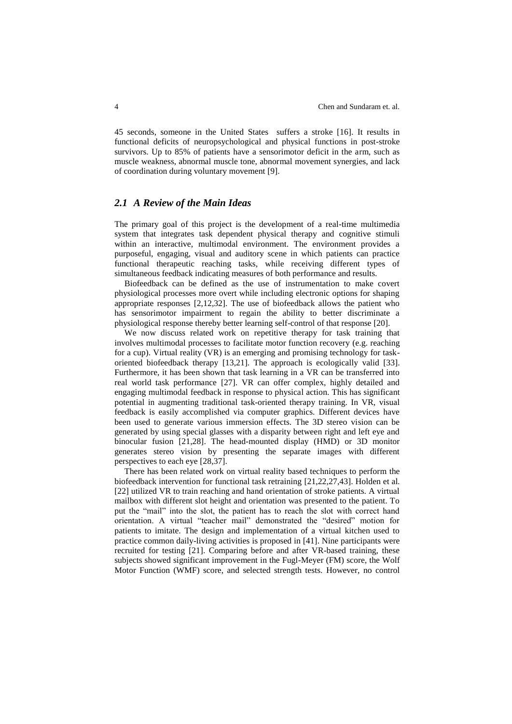45 seconds, someone in the United States suffers a stroke [16]. It results in functional deficits of neuropsychological and physical functions in post-stroke survivors. Up to 85% of patients have a sensorimotor deficit in the arm, such as muscle weakness, abnormal muscle tone, abnormal movement synergies, and lack of coordination during voluntary movement [9].

## *2.1 A Review of the Main Ideas*

The primary goal of this project is the development of a real-time multimedia system that integrates task dependent physical therapy and cognitive stimuli within an interactive, multimodal environment. The environment provides a purposeful, engaging, visual and auditory scene in which patients can practice functional therapeutic reaching tasks, while receiving different types of simultaneous feedback indicating measures of both performance and results.

Biofeedback can be defined as the use of instrumentation to make covert physiological processes more overt while including electronic options for shaping appropriate responses [2,12,32]. The use of biofeedback allows the patient who has sensorimotor impairment to regain the ability to better discriminate a physiological response thereby better learning self-control of that response [20].

We now discuss related work on repetitive therapy for task training that involves multimodal processes to facilitate motor function recovery (e.g. reaching for a cup). Virtual reality (VR) is an emerging and promising technology for taskoriented biofeedback therapy [13,21]. The approach is ecologically valid [33]. Furthermore, it has been shown that task learning in a VR can be transferred into real world task performance [27]. VR can offer complex, highly detailed and engaging multimodal feedback in response to physical action. This has significant potential in augmenting traditional task-oriented therapy training. In VR, visual feedback is easily accomplished via computer graphics. Different devices have been used to generate various immersion effects. The 3D stereo vision can be generated by using special glasses with a disparity between right and left eye and binocular fusion [21,28]. The head-mounted display (HMD) or 3D monitor generates stereo vision by presenting the separate images with different perspectives to each eye [28,37].

There has been related work on virtual reality based techniques to perform the biofeedback intervention for functional task retraining [21,22,27,43]. Holden et al. [22] utilized VR to train reaching and hand orientation of stroke patients. A virtual mailbox with different slot height and orientation was presented to the patient. To put the "mail" into the slot, the patient has to reach the slot with correct hand orientation. A virtual "teacher mail" demonstrated the "desired" motion for patients to imitate. The design and implementation of a virtual kitchen used to practice common daily-living activities is proposed in [41]. Nine participants were recruited for testing [21]. Comparing before and after VR-based training, these subjects showed significant improvement in the Fugl-Meyer (FM) score, the Wolf Motor Function (WMF) score, and selected strength tests. However, no control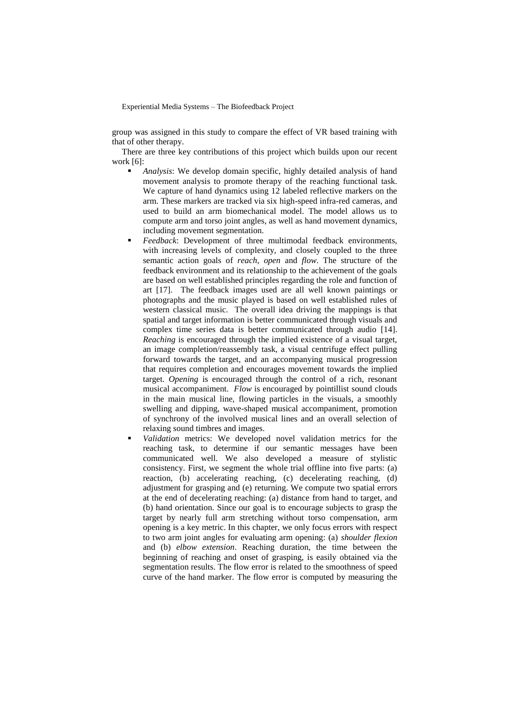group was assigned in this study to compare the effect of VR based training with that of other therapy.

There are three key contributions of this project which builds upon our recent work [6]:

- *Analysis*: We develop domain specific, highly detailed analysis of hand movement analysis to promote therapy of the reaching functional task. We capture of hand dynamics using 12 labeled reflective markers on the arm. These markers are tracked via six high-speed infra-red cameras, and used to build an arm biomechanical model. The model allows us to compute arm and torso joint angles, as well as hand movement dynamics, including movement segmentation.
- *Feedback*: Development of three multimodal feedback environments, with increasing levels of complexity, and closely coupled to the three semantic action goals of *reach*, *open* and *flow*. The structure of the feedback environment and its relationship to the achievement of the goals are based on well established principles regarding the role and function of art [17]. The feedback images used are all well known paintings or photographs and the music played is based on well established rules of western classical music. The overall idea driving the mappings is that spatial and target information is better communicated through visuals and complex time series data is better communicated through audio [14]. *Reaching* is encouraged through the implied existence of a visual target, an image completion/reassembly task, a visual centrifuge effect pulling forward towards the target, and an accompanying musical progression that requires completion and encourages movement towards the implied target. *Opening* is encouraged through the control of a rich, resonant musical accompaniment. *Flow* is encouraged by pointillist sound clouds in the main musical line, flowing particles in the visuals, a smoothly swelling and dipping, wave-shaped musical accompaniment, promotion of synchrony of the involved musical lines and an overall selection of relaxing sound timbres and images.
- *Validation* metrics: We developed novel validation metrics for the reaching task, to determine if our semantic messages have been communicated well. We also developed a measure of stylistic consistency. First, we segment the whole trial offline into five parts: (a) reaction, (b) accelerating reaching, (c) decelerating reaching, (d) adjustment for grasping and (e) returning. We compute two spatial errors at the end of decelerating reaching: (a) distance from hand to target, and (b) hand orientation. Since our goal is to encourage subjects to grasp the target by nearly full arm stretching without torso compensation, arm opening is a key metric. In this chapter, we only focus errors with respect to two arm joint angles for evaluating arm opening: (a) *shoulder flexion*  and (b) *elbow extension*. Reaching duration, the time between the beginning of reaching and onset of grasping, is easily obtained via the segmentation results. The flow error is related to the smoothness of speed curve of the hand marker. The flow error is computed by measuring the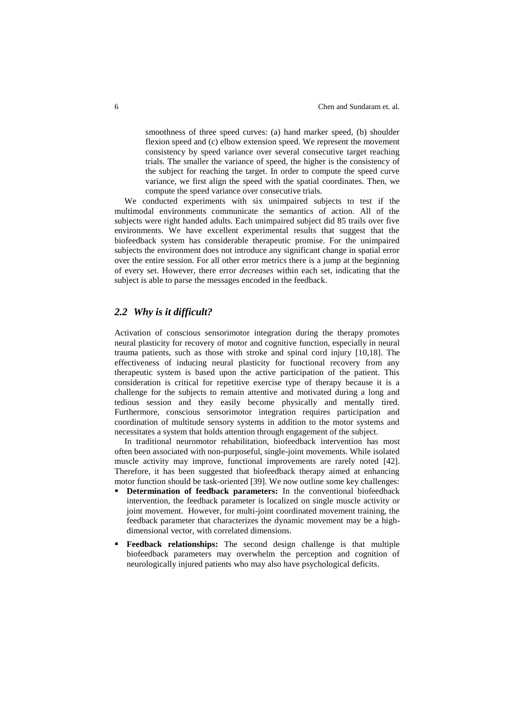smoothness of three speed curves: (a) hand marker speed, (b) shoulder flexion speed and (c) elbow extension speed. We represent the movement consistency by speed variance over several consecutive target reaching trials. The smaller the variance of speed, the higher is the consistency of the subject for reaching the target. In order to compute the speed curve variance, we first align the speed with the spatial coordinates. Then, we compute the speed variance over consecutive trials.

We conducted experiments with six unimpaired subjects to test if the multimodal environments communicate the semantics of action. All of the subjects were right handed adults. Each unimpaired subject did 85 trails over five environments. We have excellent experimental results that suggest that the biofeedback system has considerable therapeutic promise. For the unimpaired subjects the environment does not introduce any significant change in spatial error over the entire session. For all other error metrics there is a jump at the beginning of every set. However, there error *decreases* within each set, indicating that the subject is able to parse the messages encoded in the feedback.

# *2.2 Why is it difficult?*

Activation of conscious sensorimotor integration during the therapy promotes neural plasticity for recovery of motor and cognitive function, especially in neural trauma patients, such as those with stroke and spinal cord injury [10,18]. The effectiveness of inducing neural plasticity for functional recovery from any therapeutic system is based upon the active participation of the patient. This consideration is critical for repetitive exercise type of therapy because it is a challenge for the subjects to remain attentive and motivated during a long and tedious session and they easily become physically and mentally tired. Furthermore, conscious sensorimotor integration requires participation and coordination of multitude sensory systems in addition to the motor systems and necessitates a system that holds attention through engagement of the subject.

In traditional neuromotor rehabilitation, biofeedback intervention has most often been associated with non-purposeful, single-joint movements. While isolated muscle activity may improve, functional improvements are rarely noted [42]. Therefore, it has been suggested that biofeedback therapy aimed at enhancing motor function should be task-oriented [39]. We now outline some key challenges:

- **Determination of feedback parameters:** In the conventional biofeedback intervention, the feedback parameter is localized on single muscle activity or joint movement. However, for multi-joint coordinated movement training, the feedback parameter that characterizes the dynamic movement may be a highdimensional vector, with correlated dimensions.
- **Feedback relationships:** The second design challenge is that multiple biofeedback parameters may overwhelm the perception and cognition of neurologically injured patients who may also have psychological deficits.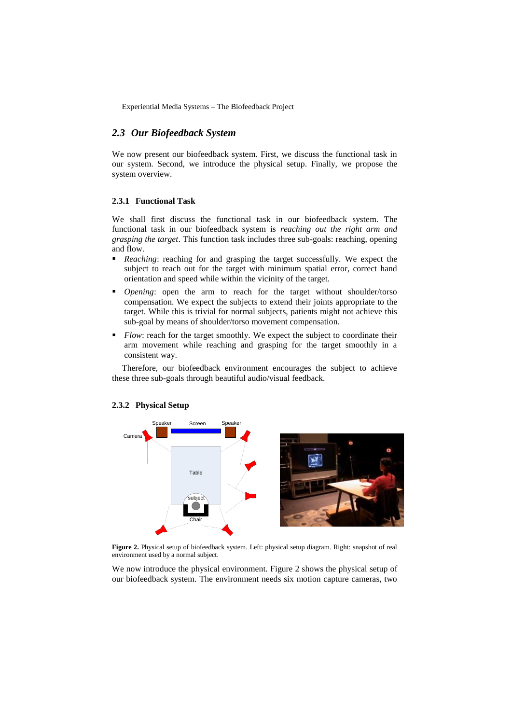# *2.3 Our Biofeedback System*

We now present our biofeedback system. First, we discuss the functional task in our system. Second, we introduce the physical setup. Finally, we propose the system overview.

#### <span id="page-6-1"></span>**2.3.1 Functional Task**

We shall first discuss the functional task in our biofeedback system. The functional task in our biofeedback system is *reaching out the right arm and grasping the target*. This function task includes three sub-goals: reaching, opening and flow.

- **Reaching: reaching for and grasping the target successfully. We expect the** subject to reach out for the target with minimum spatial error, correct hand orientation and speed while within the vicinity of the target.
- **•** *Opening*: open the arm to reach for the target without shoulder/torso compensation. We expect the subjects to extend their joints appropriate to the target. While this is trivial for normal subjects, patients might not achieve this sub-goal by means of shoulder/torso movement compensation.
- *Flow:* reach for the target smoothly. We expect the subject to coordinate their arm movement while reaching and grasping for the target smoothly in a consistent way.

Therefore, our biofeedback environment encourages the subject to achieve these three sub-goals through beautiful audio/visual feedback.

#### **2.3.2 Physical Setup**



<span id="page-6-0"></span>**Figure 2.** Physical setup of biofeedback system. Left: physical setup diagram. Right: snapshot of real environment used by a normal subject.

We now introduce the physical environment. [Figure 2](#page-6-0) shows the physical setup of our biofeedback system. The environment needs six motion capture cameras, two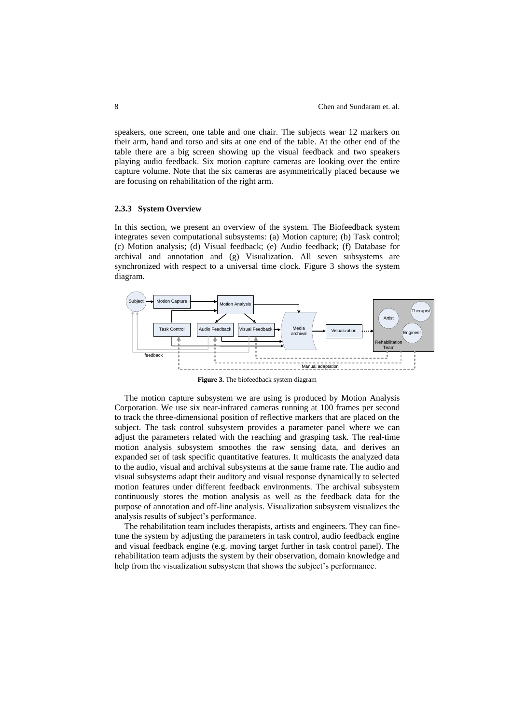speakers, one screen, one table and one chair. The subjects wear 12 markers on their arm, hand and torso and sits at one end of the table. At the other end of the table there are a big screen showing up the visual feedback and two speakers playing audio feedback. Six motion capture cameras are looking over the entire capture volume. Note that the six cameras are asymmetrically placed because we are focusing on rehabilitation of the right arm.

#### **2.3.3 System Overview**

In this section, we present an overview of the system. The Biofeedback system integrates seven computational subsystems: (a) Motion capture; (b) Task control; (c) Motion analysis; (d) Visual feedback; (e) Audio feedback; (f) Database for archival and annotation and (g) Visualization. All seven subsystems are synchronized with respect to a universal time clock. [Figure 3](#page-7-0) shows the system diagram.



**Figure 3.** The biofeedback system diagram

<span id="page-7-0"></span>The motion capture subsystem we are using is produced by Motion Analysis Corporation. We use six near-infrared cameras running at 100 frames per second to track the three-dimensional position of reflective markers that are placed on the subject. The task control subsystem provides a parameter panel where we can adjust the parameters related with the reaching and grasping task. The real-time motion analysis subsystem smoothes the raw sensing data, and derives an expanded set of task specific quantitative features. It multicasts the analyzed data to the audio, visual and archival subsystems at the same frame rate. The audio and visual subsystems adapt their auditory and visual response dynamically to selected motion features under different feedback environments. The archival subsystem continuously stores the motion analysis as well as the feedback data for the purpose of annotation and off-line analysis. Visualization subsystem visualizes the analysis results of subject's performance.

The rehabilitation team includes therapists, artists and engineers. They can finetune the system by adjusting the parameters in task control, audio feedback engine and visual feedback engine (e.g. moving target further in task control panel). The rehabilitation team adjusts the system by their observation, domain knowledge and help from the visualization subsystem that shows the subject's performance.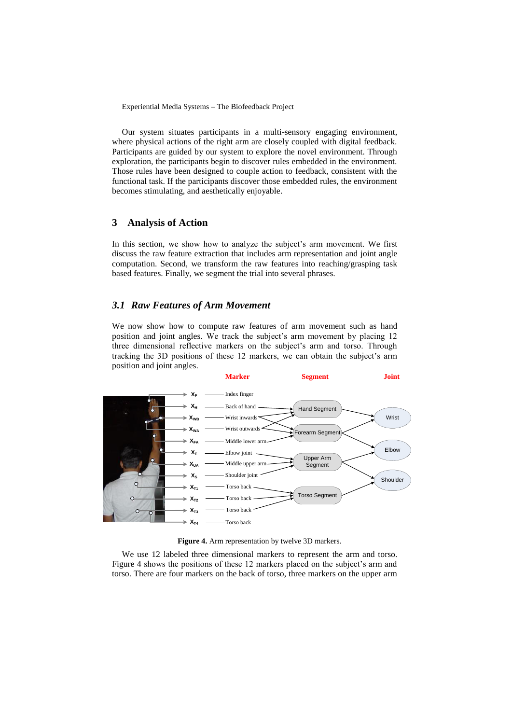Our system situates participants in a multi-sensory engaging environment, where physical actions of the right arm are closely coupled with digital feedback. Participants are guided by our system to explore the novel environment. Through exploration, the participants begin to discover rules embedded in the environment. Those rules have been designed to couple action to feedback, consistent with the functional task. If the participants discover those embedded rules, the environment becomes stimulating, and aesthetically enjoyable.

## **3 Analysis of Action**

In this section, we show how to analyze the subject's arm movement. We first discuss the raw feature extraction that includes arm representation and joint angle computation. Second, we transform the raw features into reaching/grasping task based features. Finally, we segment the trial into several phrases.

## *3.1 Raw Features of Arm Movement*

We now show how to compute raw features of arm movement such as hand position and joint angles. We track the subject's arm movement by placing 12 three dimensional reflective markers on the subject's arm and torso. Through tracking the 3D positions of these 12 markers, we can obtain the subject's arm position and joint angles.



**Figure 4.** Arm representation by twelve 3D markers.

<span id="page-8-0"></span>We use 12 labeled three dimensional markers to represent the arm and torso. [Figure 4](#page-8-0) shows the positions of these 12 markers placed on the subject's arm and torso. There are four markers on the back of torso, three markers on the upper arm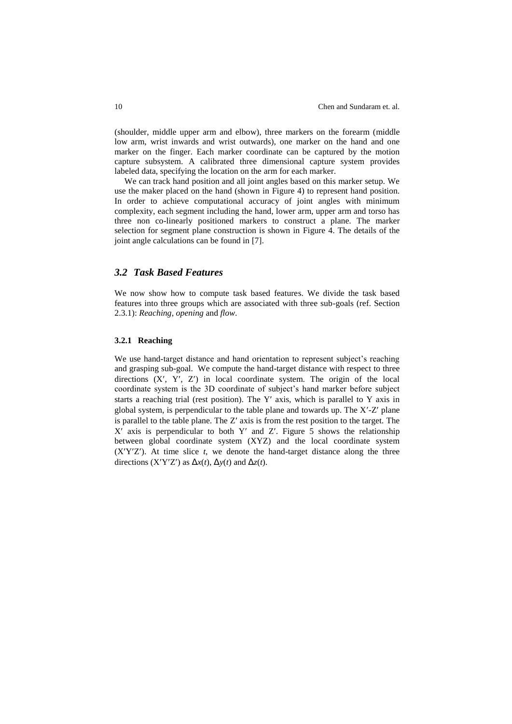(shoulder, middle upper arm and elbow), three markers on the forearm (middle low arm, wrist inwards and wrist outwards), one marker on the hand and one marker on the finger. Each marker coordinate can be captured by the motion capture subsystem. A calibrated three dimensional capture system provides labeled data, specifying the location on the arm for each marker.

We can track hand position and all joint angles based on this marker setup. We use the maker placed on the hand (shown in [Figure 4\)](#page-8-0) to represent hand position. In order to achieve computational accuracy of joint angles with minimum complexity, each segment including the hand, lower arm, upper arm and torso has three non co-linearly positioned markers to construct a plane. The marker selection for segment plane construction is shown in [Figure 4.](#page-8-0) The details of the joint angle calculations can be found in [7].

## *3.2 Task Based Features*

We now show how to compute task based features. We divide the task based features into three groups which are associated with three sub-goals (ref. Section [2.3.1\)](#page-6-1): *Reaching*, *opening* and *flow*.

#### **3.2.1 Reaching**

We use hand-target distance and hand orientation to represent subject's reaching and grasping sub-goal. We compute the hand-target distance with respect to three directions (X, Y, Z) in local coordinate system. The origin of the local coordinate system is the 3D coordinate of subject's hand marker before subject starts a reaching trial (rest position). The Y axis, which is parallel to Y axis in global system, is perpendicular to the table plane and towards up. The  $X'-Z'$  plane is parallel to the table plane. The  $Z'$  axis is from the rest position to the target. The  $X'$  axis is perpendicular to both Y' and Z'. [Figure 5](#page-10-0) shows the relationship between global coordinate system (XYZ) and the local coordinate system  $(X'Y'Z')$ . At time slice *t*, we denote the hand-target distance along the three directions (X'Y'Z') as  $\Delta x(t)$ ,  $\Delta y(t)$  and  $\Delta z(t)$ .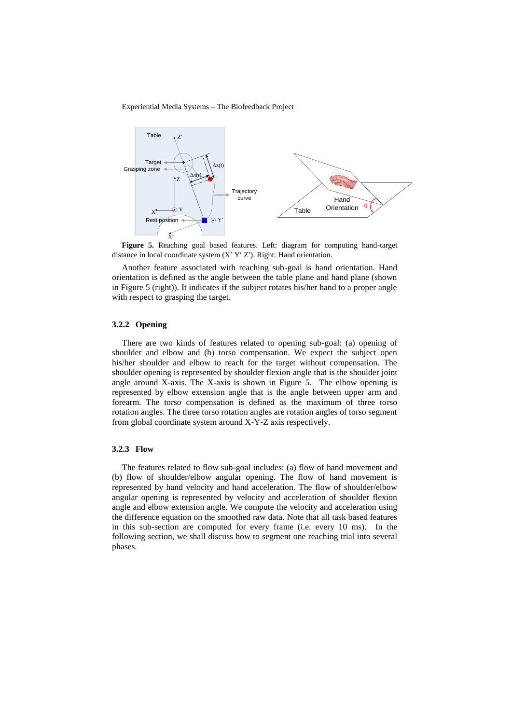

<span id="page-10-0"></span>**Figure 5.** Reaching goal based features. Left: diagram for computing hand-target distance in local coordinate system  $(X' Y' Z')$ . Right: Hand orientation.

Another feature associated with reaching sub-goal is hand orientation. Hand orientation is defined as the angle between the table plane and hand plane (shown in Figure 5 (right)). It indicates if the subject rotates his/her hand to a proper angle with respect to grasping the target.

### **3.2.2 Opening**

There are two kinds of features related to opening sub-goal: (a) opening of shoulder and elbow and (b) torso compensation. We expect the subject open his/her shoulder and elbow to reach for the target without compensation. The shoulder opening is represented by shoulder flexion angle that is the shoulder joint angle around X-axis. The X-axis is shown in Figure 5. The elbow opening is represented by elbow extension angle that is the angle between upper arm and forearm. The torso compensation is defined as the maximum of three torso rotation angles. The three torso rotation angles are rotation angles of torso segment from global coordinate system around X-Y-Z axis respectively.

### **3.2.3 Flow**

The features related to flow sub-goal includes: (a) flow of hand movement and (b) flow of shoulder/elbow angular opening. The flow of hand movement is represented by hand velocity and hand acceleration. The flow of shoulder/elbow angular opening is represented by velocity and acceleration of shoulder flexion angle and elbow extension angle. We compute the velocity and acceleration using the difference equation on the smoothed raw data. Note that all task based features in this sub-section are computed for every frame (i.e. every 10 ms). In the following section, we shall discuss how to segment one reaching trial into several phases.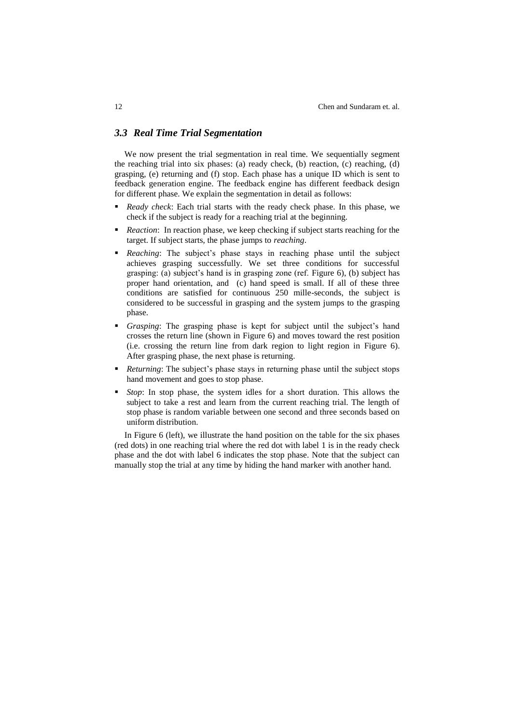## *3.3 Real Time Trial Segmentation*

<span id="page-11-0"></span>We now present the trial segmentation in real time. We sequentially segment the reaching trial into six phases: (a) ready check, (b) reaction, (c) reaching, (d) grasping, (e) returning and (f) stop. Each phase has a unique ID which is sent to feedback generation engine. The feedback engine has different feedback design for different phase. We explain the segmentation in detail as follows:

- *Ready check*: Each trial starts with the ready check phase. In this phase, we check if the subject is ready for a reaching trial at the beginning.
- *Reaction*: In reaction phase, we keep checking if subject starts reaching for the target. If subject starts, the phase jumps to *reaching*.
- **Reaching:** The subject's phase stays in reaching phase until the subject achieves grasping successfully. We set three conditions for successful grasping: (a) subject's hand is in grasping zone (ref. [Figure 6\)](#page-12-0), (b) subject has proper hand orientation, and (c) hand speed is small. If all of these three conditions are satisfied for continuous 250 mille-seconds, the subject is considered to be successful in grasping and the system jumps to the grasping phase.
- *Grasping*: The grasping phase is kept for subject until the subject's hand crosses the return line (shown in [Figure 6\)](#page-12-0) and moves toward the rest position (i.e. crossing the return line from dark region to light region in [Figure 6\)](#page-12-0). After grasping phase, the next phase is returning.
- **Returning:** The subject's phase stays in returning phase until the subject stops hand movement and goes to stop phase.
- *Stop*: In stop phase, the system idles for a short duration. This allows the subject to take a rest and learn from the current reaching trial. The length of stop phase is random variable between one second and three seconds based on uniform distribution.

In [Figure 6](#page-12-0) (left), we illustrate the hand position on the table for the six phases (red dots) in one reaching trial where the red dot with label 1 is in the ready check phase and the dot with label 6 indicates the stop phase. Note that the subject can manually stop the trial at any time by hiding the hand marker with another hand.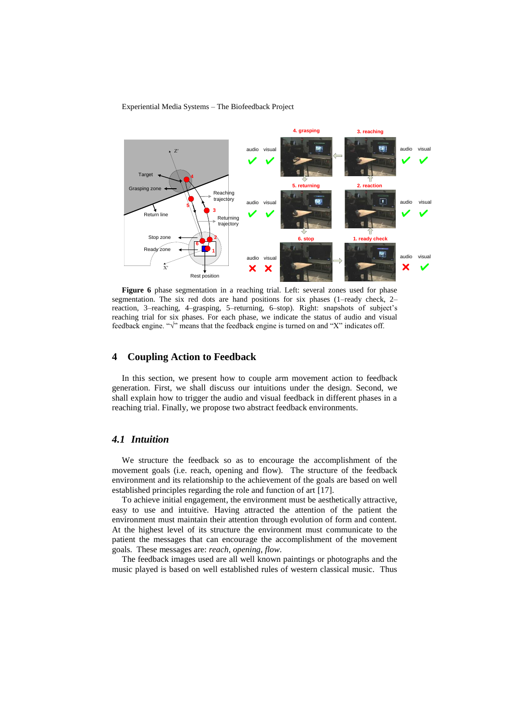

<span id="page-12-0"></span>**Figure 6** phase segmentation in a reaching trial. Left: several zones used for phase segmentation. The six red dots are hand positions for six phases (1–ready check, 2– reaction, 3–reaching, 4–grasping, 5–returning, 6–stop). Right: snapshots of subject's reaching trial for six phases. For each phase, we indicate the status of audio and visual feedback engine. " $\sqrt{ }$ " means that the feedback engine is turned on and "X" indicates off.

### **4 Coupling Action to Feedback**

In this section, we present how to couple arm movement action to feedback generation. First, we shall discuss our intuitions under the design. Second, we shall explain how to trigger the audio and visual feedback in different phases in a reaching trial. Finally, we propose two abstract feedback environments.

### *4.1 Intuition*

We structure the feedback so as to encourage the accomplishment of the movement goals (i.e. reach, opening and flow). The structure of the feedback environment and its relationship to the achievement of the goals are based on well established principles regarding the role and function of art [17].

To achieve initial engagement, the environment must be aesthetically attractive, easy to use and intuitive. Having attracted the attention of the patient the environment must maintain their attention through evolution of form and content. At the highest level of its structure the environment must communicate to the patient the messages that can encourage the accomplishment of the movement goals. These messages are: *reach*, *opening*, *flow*.

The feedback images used are all well known paintings or photographs and the music played is based on well established rules of western classical music. Thus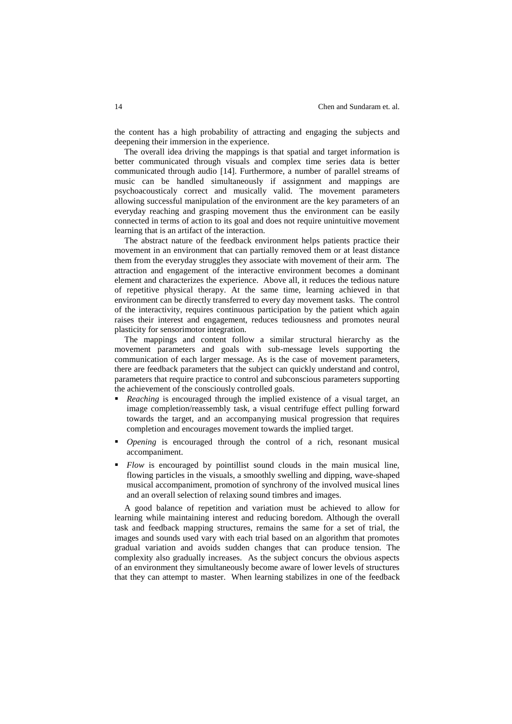the content has a high probability of attracting and engaging the subjects and deepening their immersion in the experience.

The overall idea driving the mappings is that spatial and target information is better communicated through visuals and complex time series data is better communicated through audio [14]. Furthermore, a number of parallel streams of music can be handled simultaneously if assignment and mappings are psychoacousticaly correct and musically valid. The movement parameters allowing successful manipulation of the environment are the key parameters of an everyday reaching and grasping movement thus the environment can be easily connected in terms of action to its goal and does not require unintuitive movement learning that is an artifact of the interaction.

The abstract nature of the feedback environment helps patients practice their movement in an environment that can partially removed them or at least distance them from the everyday struggles they associate with movement of their arm. The attraction and engagement of the interactive environment becomes a dominant element and characterizes the experience. Above all, it reduces the tedious nature of repetitive physical therapy. At the same time, learning achieved in that environment can be directly transferred to every day movement tasks. The control of the interactivity, requires continuous participation by the patient which again raises their interest and engagement, reduces tediousness and promotes neural plasticity for sensorimotor integration.

The mappings and content follow a similar structural hierarchy as the movement parameters and goals with sub-message levels supporting the communication of each larger message. As is the case of movement parameters, there are feedback parameters that the subject can quickly understand and control, parameters that require practice to control and subconscious parameters supporting the achievement of the consciously controlled goals.

- *Reaching* is encouraged through the implied existence of a visual target, an image completion/reassembly task, a visual centrifuge effect pulling forward towards the target, and an accompanying musical progression that requires completion and encourages movement towards the implied target.
- *Opening* is encouraged through the control of a rich, resonant musical accompaniment.
- *Flow* is encouraged by pointillist sound clouds in the main musical line, flowing particles in the visuals, a smoothly swelling and dipping, wave-shaped musical accompaniment, promotion of synchrony of the involved musical lines and an overall selection of relaxing sound timbres and images.

A good balance of repetition and variation must be achieved to allow for learning while maintaining interest and reducing boredom. Although the overall task and feedback mapping structures, remains the same for a set of trial, the images and sounds used vary with each trial based on an algorithm that promotes gradual variation and avoids sudden changes that can produce tension. The complexity also gradually increases. As the subject concurs the obvious aspects of an environment they simultaneously become aware of lower levels of structures that they can attempt to master. When learning stabilizes in one of the feedback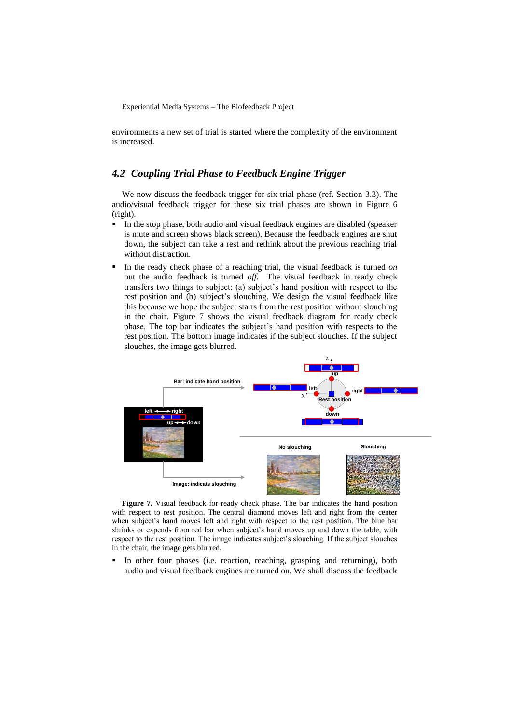environments a new set of trial is started where the complexity of the environment is increased.

# *4.2 Coupling Trial Phase to Feedback Engine Trigger*

We now discuss the feedback trigger for six trial phase (ref. Section [3.3\)](#page-11-0). The audio/visual feedback trigger for these six trial phases are shown in [Figure 6](#page-12-0) (right).

- In the stop phase, both audio and visual feedback engines are disabled (speaker is mute and screen shows black screen). Because the feedback engines are shut down, the subject can take a rest and rethink about the previous reaching trial without distraction.
- In the ready check phase of a reaching trial, the visual feedback is turned *on* but the audio feedback is turned *off*. The visual feedback in ready check transfers two things to subject: (a) subject's hand position with respect to the rest position and (b) subject's slouching. We design the visual feedback like this because we hope the subject starts from the rest position without slouching in the chair. [Figure 7](#page-14-0) shows the visual feedback diagram for ready check phase. The top bar indicates the subject's hand position with respects to the rest position. The bottom image indicates if the subject slouches. If the subject slouches, the image gets blurred.



<span id="page-14-0"></span>Figure 7. Visual feedback for ready check phase. The bar indicates the hand position with respect to rest position. The central diamond moves left and right from the center when subject's hand moves left and right with respect to the rest position. The blue bar shrinks or expends from red bar when subject's hand moves up and down the table, with respect to the rest position. The image indicates subject's slouching. If the subject slouches in the chair, the image gets blurred.

 In other four phases (i.e. reaction, reaching, grasping and returning), both audio and visual feedback engines are turned on. We shall discuss the feedback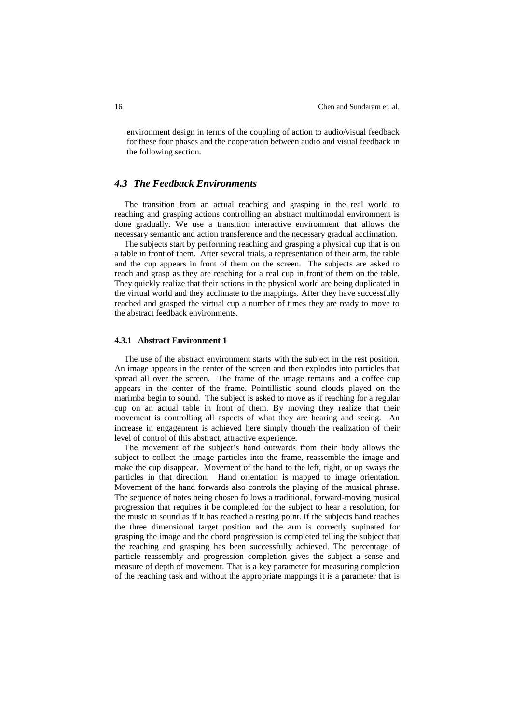environment design in terms of the coupling of action to audio/visual feedback for these four phases and the cooperation between audio and visual feedback in the following section.

### *4.3 The Feedback Environments*

The transition from an actual reaching and grasping in the real world to reaching and grasping actions controlling an abstract multimodal environment is done gradually. We use a transition interactive environment that allows the necessary semantic and action transference and the necessary gradual acclimation.

The subjects start by performing reaching and grasping a physical cup that is on a table in front of them. After several trials, a representation of their arm, the table and the cup appears in front of them on the screen. The subjects are asked to reach and grasp as they are reaching for a real cup in front of them on the table. They quickly realize that their actions in the physical world are being duplicated in the virtual world and they acclimate to the mappings. After they have successfully reached and grasped the virtual cup a number of times they are ready to move to the abstract feedback environments.

#### **4.3.1 Abstract Environment 1**

The use of the abstract environment starts with the subject in the rest position. An image appears in the center of the screen and then explodes into particles that spread all over the screen. The frame of the image remains and a coffee cup appears in the center of the frame. Pointillistic sound clouds played on the marimba begin to sound. The subject is asked to move as if reaching for a regular cup on an actual table in front of them. By moving they realize that their movement is controlling all aspects of what they are hearing and seeing. An increase in engagement is achieved here simply though the realization of their level of control of this abstract, attractive experience.

The movement of the subject's hand outwards from their body allows the subject to collect the image particles into the frame, reassemble the image and make the cup disappear. Movement of the hand to the left, right, or up sways the particles in that direction. Hand orientation is mapped to image orientation. Movement of the hand forwards also controls the playing of the musical phrase. The sequence of notes being chosen follows a traditional, forward-moving musical progression that requires it be completed for the subject to hear a resolution, for the music to sound as if it has reached a resting point. If the subjects hand reaches the three dimensional target position and the arm is correctly supinated for grasping the image and the chord progression is completed telling the subject that the reaching and grasping has been successfully achieved. The percentage of particle reassembly and progression completion gives the subject a sense and measure of depth of movement. That is a key parameter for measuring completion of the reaching task and without the appropriate mappings it is a parameter that is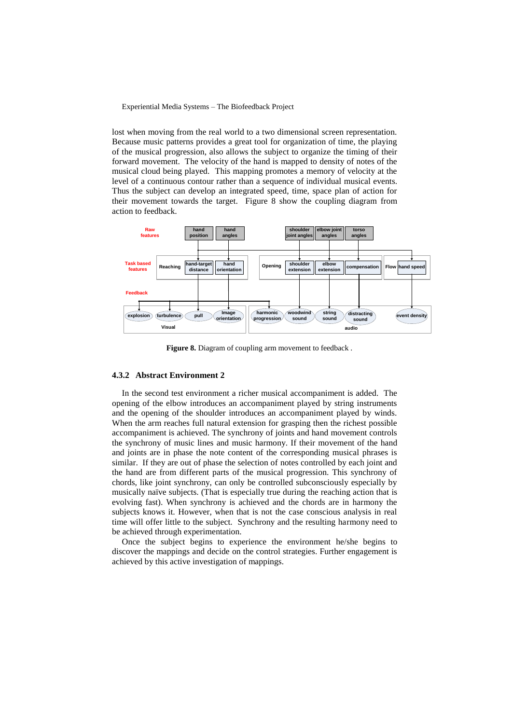lost when moving from the real world to a two dimensional screen representation. Because music patterns provides a great tool for organization of time, the playing of the musical progression, also allows the subject to organize the timing of their forward movement. The velocity of the hand is mapped to density of notes of the musical cloud being played. This mapping promotes a memory of velocity at the level of a continuous contour rather than a sequence of individual musical events. Thus the subject can develop an integrated speed, time, space plan of action for their movement towards the target. [Figure 8](#page-16-0) show the coupling diagram from action to feedback.



Figure 8. Diagram of coupling arm movement to feedback.

#### <span id="page-16-0"></span>**4.3.2 Abstract Environment 2**

In the second test environment a richer musical accompaniment is added. The opening of the elbow introduces an accompaniment played by string instruments and the opening of the shoulder introduces an accompaniment played by winds. When the arm reaches full natural extension for grasping then the richest possible accompaniment is achieved. The synchrony of joints and hand movement controls the synchrony of music lines and music harmony. If their movement of the hand and joints are in phase the note content of the corresponding musical phrases is similar. If they are out of phase the selection of notes controlled by each joint and the hand are from different parts of the musical progression. This synchrony of chords, like joint synchrony, can only be controlled subconsciously especially by musically naïve subjects. (That is especially true during the reaching action that is evolving fast). When synchrony is achieved and the chords are in harmony the subjects knows it. However, when that is not the case conscious analysis in real time will offer little to the subject. Synchrony and the resulting harmony need to be achieved through experimentation.

Once the subject begins to experience the environment he/she begins to discover the mappings and decide on the control strategies. Further engagement is achieved by this active investigation of mappings.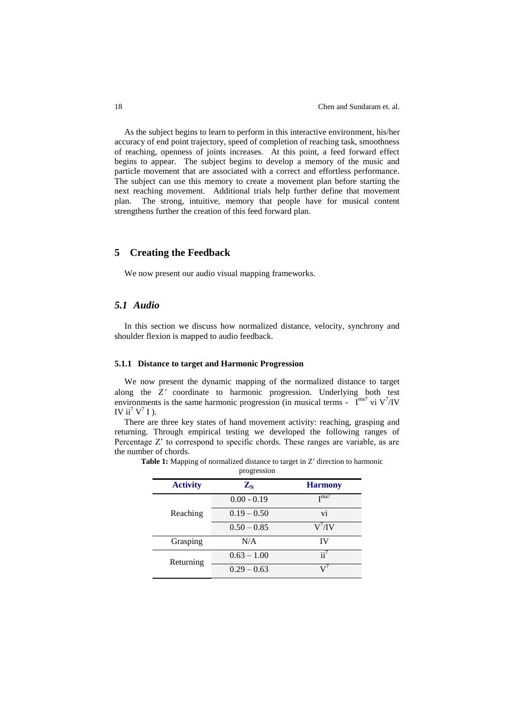As the subject begins to learn to perform in this interactive environment, his/her accuracy of end point trajectory, speed of completion of reaching task, smoothness of reaching, openness of joints increases. At this point, a feed forward effect begins to appear. The subject begins to develop a memory of the music and particle movement that are associated with a correct and effortless performance. The subject can use this memory to create a movement plan before starting the next reaching movement. Additional trials help further define that movement plan. The strong, intuitive, memory that people have for musical content strengthens further the creation of this feed forward plan.

## **5 Creating the Feedback**

We now present our audio visual mapping frameworks.

# *5.1 Audio*

In this section we discuss how normalized distance, velocity, synchrony and shoulder flexion is mapped to audio feedback.

#### **5.1.1 Distance to target and Harmonic Progression**

We now present the dynamic mapping of the normalized distance to target along the *Z* coordinate to harmonic progression. Underlying both test environments is the same harmonic progression (in musical terms -  $I^{ma7}$  vi  $V^{7}/IV$ IV ii<sup>7</sup> V<sup>7</sup> I ).

There are three key states of hand movement activity: reaching, grasping and returning. Through empirical testing we developed the following ranges of Percentage Z' to correspond to specific chords. These ranges are variable, as are the number of chords.

| progression     |                |                   |  |
|-----------------|----------------|-------------------|--|
| <b>Activity</b> | $\mathbf{Z_N}$ | <b>Harmony</b>    |  |
|                 | $0.00 - 0.19$  | T <sup>ma7</sup>  |  |
| Reaching        | $0.19 - 0.50$  | vi                |  |
|                 | $0.50 - 0.85$  | $V^7$ /IV         |  |
| Grasping        | N/A            | IV                |  |
| Returning       | $0.63 - 1.00$  | $\overline{ii}^7$ |  |
|                 | $0.29 - 0.63$  | $\overline{V'}$   |  |

Table 1: Mapping of normalized distance to target in Z' direction to harmonic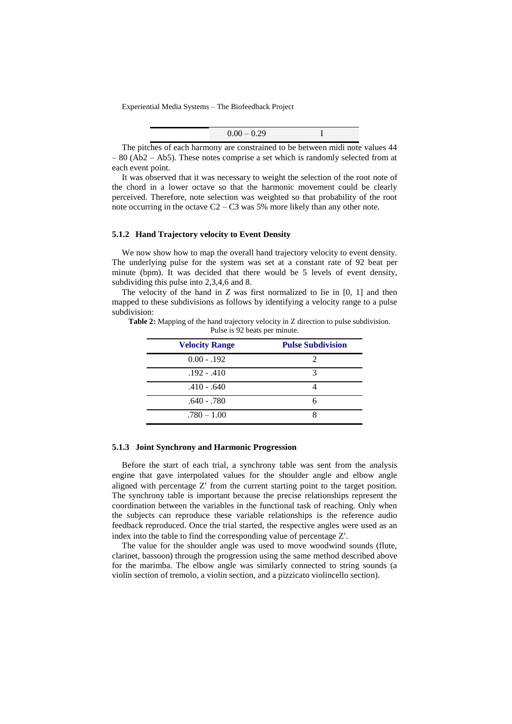| $0.00 - 0.29$ |
|---------------|
|---------------|

The pitches of each harmony are constrained to be between midi note values 44 – 80 (Ab2 – Ab5). These notes comprise a set which is randomly selected from at each event point.

It was observed that it was necessary to weight the selection of the root note of the chord in a lower octave so that the harmonic movement could be clearly perceived. Therefore, note selection was weighted so that probability of the root note occurring in the octave  $C2 - C3$  was 5% more likely than any other note.

## **5.1.2 Hand Trajectory velocity to Event Density**

We now show how to map the overall hand trajectory velocity to event density. The underlying pulse for the system was set at a constant rate of 92 beat per minute (bpm). It was decided that there would be 5 levels of event density, subdividing this pulse into 2,3,4,6 and 8.

The velocity of the hand in *Z* was first normalized to lie in [0, 1] and then mapped to these subdivisions as follows by identifying a velocity range to a pulse subdivision:

| <b>Velocity Range</b> | <b>Pulse Subdivision</b> |
|-----------------------|--------------------------|
| $0.00 - 0.192$        |                          |
| $.192 - .410$         | 3                        |
| $.410 - .640$         |                          |
| $.640 - .780$         | 6                        |
| $.780 - 1.00$         |                          |

**Table 2:** Mapping of the hand trajectory velocity in Z direction to pulse subdivision. Pulse is 92 beats per minute.

### **5.1.3 Joint Synchrony and Harmonic Progression**

Before the start of each trial, a synchrony table was sent from the analysis engine that gave interpolated values for the shoulder angle and elbow angle aligned with percentage  $Z'$  from the current starting point to the target position. The synchrony table is important because the precise relationships represent the coordination between the variables in the functional task of reaching. Only when the subjects can reproduce these variable relationships is the reference audio feedback reproduced. Once the trial started, the respective angles were used as an index into the table to find the corresponding value of percentage Z'.

The value for the shoulder angle was used to move woodwind sounds (flute, clarinet, bassoon) through the progression using the same method described above for the marimba. The elbow angle was similarly connected to string sounds (a violin section of tremolo, a violin section, and a pizzicato violincello section).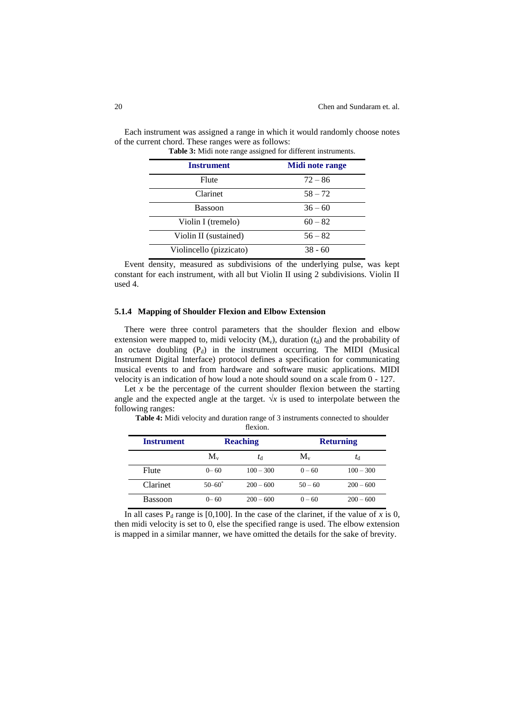Each instrument was assigned a range in which it would randomly choose notes of the current chord. These ranges were as follows:

| <b>Instrument</b>       | Midi note range |  |
|-------------------------|-----------------|--|
| Flute                   | $72 - 86$       |  |
| <b>Clarinet</b>         | $58 - 72$       |  |
| <b>Bassoon</b>          | $36 - 60$       |  |
| Violin I (tremelo)      | $60 - 82$       |  |
| Violin II (sustained)   | $56 - 82$       |  |
| Violincello (pizzicato) | $38 - 60$       |  |

**Table 3:** Midi note range assigned for different instruments.

Event density, measured as subdivisions of the underlying pulse, was kept constant for each instrument, with all but Violin II using 2 subdivisions. Violin II used 4.

#### **5.1.4 Mapping of Shoulder Flexion and Elbow Extension**

There were three control parameters that the shoulder flexion and elbow extension were mapped to, midi velocity  $(M_v)$ , duration  $(t_d)$  and the probability of an octave doubling  $(P_d)$  in the instrument occurring. The MIDI (Musical Instrument Digital Interface) protocol defines a specification for communicating musical events to and from hardware and software music applications. MIDI velocity is an indication of how loud a note should sound on a scale from 0 - 127.

Let  $x$  be the percentage of the current shoulder flexion between the starting angle and the expected angle at the target.  $\sqrt{x}$  is used to interpolate between the following ranges:

**Table 4:** Midi velocity and duration range of 3 instruments connected to shoulder  $\ln$ 

|  | flexic |  |
|--|--------|--|
|  |        |  |

| <b>Instrument</b> | <b>Reaching</b> |             | <b>Returning</b> |             |
|-------------------|-----------------|-------------|------------------|-------------|
|                   | $M_{\rm v}$     | $t_{\rm d}$ | $M_{\rm v}$      | $t_{\rm d}$ |
| Flute             | $0 - 60$        | $100 - 300$ | $0 - 60$         | $100 - 300$ |
| Clarinet          | $50 - 60^*$     | $200 - 600$ | $50 - 60$        | $200 - 600$ |
| <b>Bassoon</b>    | $0 - 60$        | $200 - 600$ | $0 - 60$         | $200 - 600$ |

In all cases  $P_d$  range is [0,100]. In the case of the clarinet, if the value of *x* is 0, then midi velocity is set to 0, else the specified range is used. The elbow extension is mapped in a similar manner, we have omitted the details for the sake of brevity.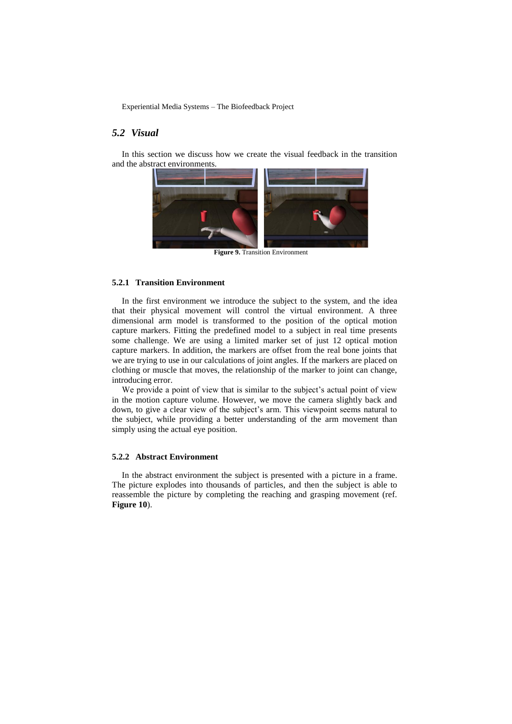# *5.2 Visual*

In this section we discuss how we create the visual feedback in the transition and the abstract environments.



**Figure 9.** Transition Environment

### <span id="page-20-0"></span>**5.2.1 Transition Environment**

In the first environment we introduce the subject to the system, and the idea that their physical movement will control the virtual environment. A three dimensional arm model is transformed to the position of the optical motion capture markers. Fitting the predefined model to a subject in real time presents some challenge. We are using a limited marker set of just 12 optical motion capture markers. In addition, the markers are offset from the real bone joints that we are trying to use in our calculations of joint angles. If the markers are placed on clothing or muscle that moves, the relationship of the marker to joint can change, introducing error.

We provide a point of view that is similar to the subject's actual point of view in the motion capture volume. However, we move the camera slightly back and down, to give a clear view of the subject's arm. This viewpoint seems natural to the subject, while providing a better understanding of the arm movement than simply using the actual eye position.

### **5.2.2 Abstract Environment**

In the abstract environment the subject is presented with a picture in a frame. The picture explodes into thousands of particles, and then the subject is able to reassemble the picture by completing the reaching and grasping movement (ref. **[Figure 10](#page-21-0)**).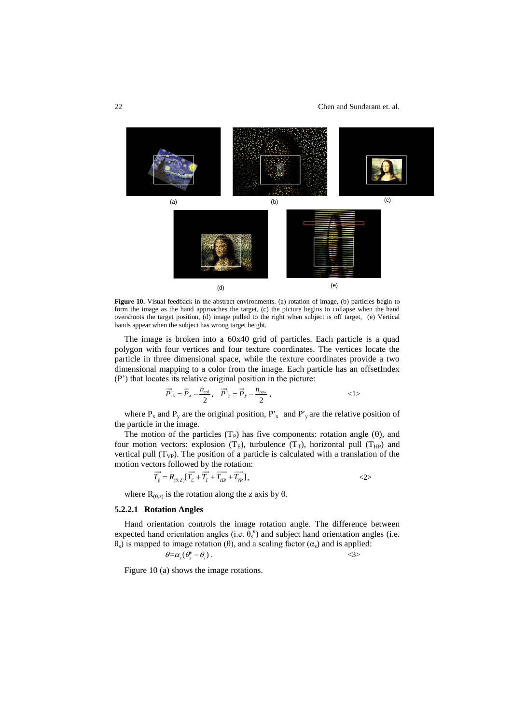

<span id="page-21-0"></span>**Figure 10.** Visual feedback in the abstract environments. (a) rotation of image, (b) particles begin to form the image as the hand approaches the target, (c) the picture begins to collapse when the hand overshoots the target position, (d) image pulled to the right when subject is off target, (e) Vertical bands appear when the subject has wrong target height.

The image is broken into a 60x40 grid of particles. Each particle is a quad polygon with four vertices and four texture coordinates. The vertices locate the particle in three dimensional space, while the texture coordinates provide a two dimensional mapping to a color from the image. Each particle has an offsetIndex

(P') that locates its relative original position in the picture:  
\n
$$
\overrightarrow{P'}_x = \overrightarrow{P}_x - \frac{n_{col}}{2}, \quad \overrightarrow{P'}_y = \overrightarrow{P}_y - \frac{n_{row}}{2},
$$
\n(1)

where  $P_x$  and  $P_y$  are the original position,  $P'_x$  and  $P'_y$  are the relative position of the particle in the image.

The motion of the particles  $(T_P)$  has five components: rotation angle ( $\theta$ ), and four motion vectors: explosion (T<sub>E</sub>), turbulence (T<sub>T</sub>), horizontal pull (T<sub>HP</sub>) and vertical pull  $(T_{VP})$ . The position of a particle is calculated with a translation of the motion vectors followed by the rotation:

$$
\overrightarrow{T}_{\overrightarrow{p}} = R_{(\theta, Z)}[\overrightarrow{T}_{E} + \overrightarrow{T}_{H} + \overrightarrow{T}_{HP} + \overrightarrow{T}_{VP}],
$$

where  $R_{(\theta,z)}$  is the rotation along the *z* axis by  $\theta$ .

#### **5.2.2.1 Rotation Angles**

Hand orientation controls the image rotation angle. The difference between expected hand orientation angles (i.e.  $\overline{\theta_s}^e$ ) and subject hand orientation angles (i.e. θs) is mapped to image rotation (θ), and a scaling factor (αs) and is applied:

$$
\theta = \alpha_s (\theta_s^e - \theta_s) \ . \tag{3}
$$

[Figure 10](#page-21-0) (a) shows the image rotations.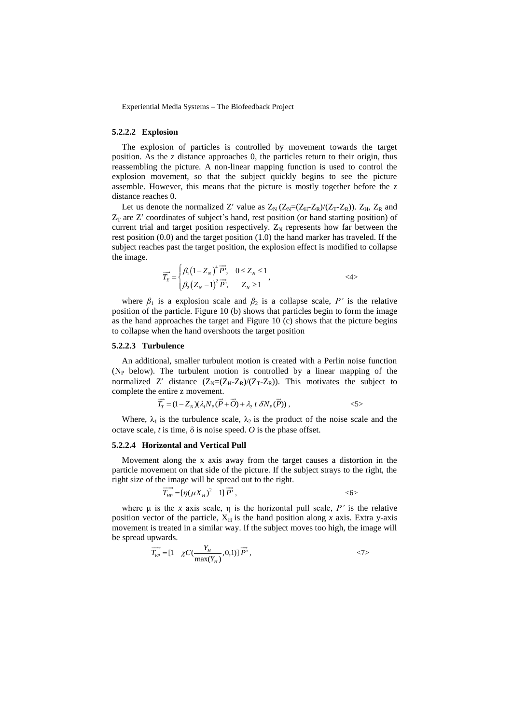#### **5.2.2.2 Explosion**

The explosion of particles is controlled by movement towards the target position. As the z distance approaches 0, the particles return to their origin, thus reassembling the picture. A non-linear mapping function is used to control the explosion movement, so that the subject quickly begins to see the picture assemble. However, this means that the picture is mostly together before the z distance reaches 0.

Let us denote the normalized Z' value as  $Z_N (Z_N = (Z_H - Z_R)/(Z_T - Z_R))$ .  $Z_H$ ,  $Z_R$  and  $Z_T$  are  $Z'$  coordinates of subject's hand, rest position (or hand starting position) of current trial and target position respectively.  $Z_N$  represents how far between the rest position (0.0) and the target position (1.0) the hand marker has traveled. If the subject reaches past the target position, the explosion effect is modified to collapse the image.

$$
\overrightarrow{T}_{E} = \begin{cases} \beta_{1} (1 - Z_{N})^{4} \overrightarrow{P}, & 0 \le Z_{N} \le 1 \\ \beta_{2} (Z_{N} - 1)^{2} \overrightarrow{P}, & Z_{N} \ge 1 \end{cases}, \tag{4}
$$

where  $\beta_1$  is a explosion scale and  $\beta_2$  is a collapse scale, *P'* is the relative position of the particle. [Figure 10](#page-21-0) (b) shows that particles begin to form the image as the hand approaches the target and [Figure 10](#page-21-0) (c) shows that the picture begins to collapse when the hand overshoots the target position

#### **5.2.2.3 Turbulence**

An additional, smaller turbulent motion is created with a Perlin noise function  $(N_P)$  below). The turbulent motion is controlled by a linear mapping of the normalized Z' distance  $(Z_N=(Z_H-Z_R)/(Z_T-Z_R))$ . This motivates the subject to complete the entire z movement.

$$
\overrightarrow{T}_T = (1 - Z_N)(\lambda_1 N_P(\overrightarrow{P} + \overrightarrow{O}) + \lambda_2 t \, \delta N_P(\overrightarrow{P})) \,, \tag{5}
$$

Where,  $\lambda_1$  is the turbulence scale,  $\lambda_2$  is the product of the noise scale and the octave scale, *t* is time,  $\delta$  is noise speed. *O* is the phase offset.

#### **5.2.2.4 Horizontal and Vertical Pull**

Movement along the x axis away from the target causes a distortion in the particle movement on that side of the picture. If the subject strays to the right, the right size of the image will be spread out to the right.

$$
\overrightarrow{T_{HP}} = \left[\eta(\mu X_H)^2 \quad 1\right] \overrightarrow{P}, \tag{6}
$$

where  $\mu$  is the *x* axis scale,  $\eta$  is the horizontal pull scale, *P'* is the relative position vector of the particle,  $X_H$  is the hand position along x axis. Extra y-axis movement is treated in a similar way. If the subject moves too high, the image will be spread upwards.

pwards.  
\n
$$
\overrightarrow{T_{VP}} = \begin{bmatrix} 1 & \chi C(\frac{Y_H}{\max(Y_H)}, 0, 1) \end{bmatrix} \overrightarrow{P'},
$$
\n
$$
\langle 7 \rangle
$$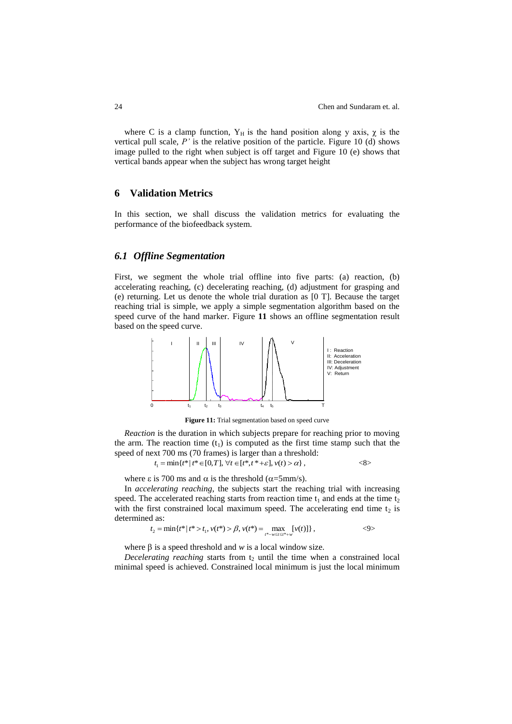where C is a clamp function,  $Y_H$  is the hand position along y axis,  $\chi$  is the vertical pull scale,  $P'$  is the relative position of the particle. [Figure 10](#page-21-0) (d) shows image pulled to the right when subject is off target and [Figure 10](#page-21-0) (e) shows that vertical bands appear when the subject has wrong target height

# **6 Validation Metrics**

In this section, we shall discuss the validation metrics for evaluating the performance of the biofeedback system.

### *6.1 Offline Segmentation*

First, we segment the whole trial offline into five parts: (a) reaction, (b) accelerating reaching, (c) decelerating reaching, (d) adjustment for grasping and (e) returning. Let us denote the whole trial duration as [0 T]. Because the target reaching trial is simple, we apply a simple segmentation algorithm based on the speed curve of the hand marker. [Figure](#page-23-0) **11** shows an offline segmentation result based on the speed curve.



Figure 11: Trial segmentation based on speed curve

<span id="page-23-0"></span>*Reaction* is the duration in which subjects prepare for reaching prior to moving the arm. The reaction time  $(t_1)$  is computed as the first time stamp such that the speed of next 700 ms (70 frames) is larger than a threshold:<br>  $t_1 = \min\{t^* | t^* \in [0, T], \forall t \in [t^*; t^* + \varepsilon], v(t) > \alpha\},$  <8>

$$
t_1 = \min\{t^* | t^* \in [0, T], \forall t \in [t^*, t^* + \varepsilon], v(t) > \alpha\},\tag{8}
$$

where  $\varepsilon$  is 700 ms and  $\alpha$  is the threshold ( $\alpha$ =5mm/s).

In *accelerating reaching*, the subjects start the reaching trial with increasing speed. The accelerated reaching starts from reaction time  $t_1$  and ends at the time  $t_2$ with the first constrained local maximum speed. The accelerating end time  $t_2$  is determined as: :<br>  $\min\{t^* | t^* > t_1, v(t^*) > \beta, v(t^*) = \max_{t^* = w \le t \le t^* + w} [v(t)]\}$ *t*<sub>2</sub> = min{*t*<sup>\*</sup> | *t*<sup>\*</sup> > *t*<sub>1</sub>,  $v(t^*)$  >  $\beta$ ,  $v(t^*)$  =  $\max_{t^* = w \le t \le t^* + w} [v(t^*) - v(t^*)]$ us:<br>= min{ $t^*$  |  $t^* > t_1$ ,  $v(t^*) > \beta$ ,  $v(t^*) = \max_{t^* = w \le t \le t^*} [v(t)]$ }, <9>

$$
t_2 = \min\{t^* | t^* > t_1, v(t^*) > \beta, v(t^*) = \max_{t^* - w \le t \le t^* + w} [v(t)]\},
$$

where  $\beta$  is a speed threshold and *w* is a local window size.

*Decelerating reaching* starts from t<sub>2</sub> until the time when a constrained local minimal speed is achieved. Constrained local minimum is just the local minimum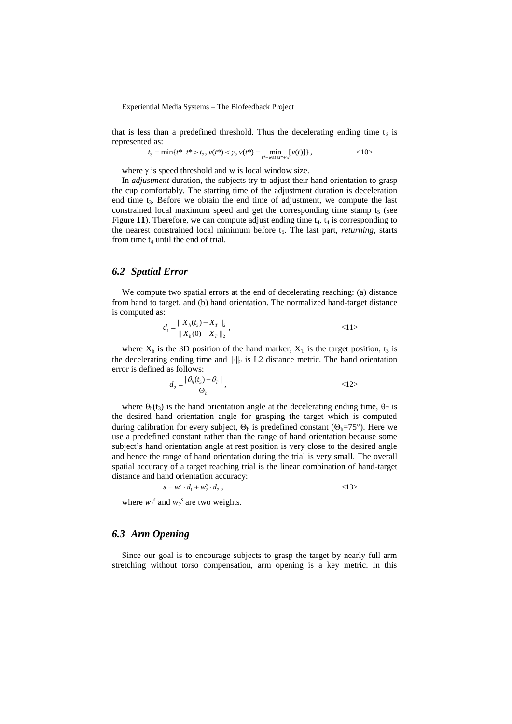that is less than a predefined threshold. Thus the decelerating ending time  $t_3$  is represented as: :<br>  $\min\{t^* | t^* > t_2, v(t^*) < \gamma, v(t^*) = \min_{t^* = v \le t \le t^* + w} [v(t)]\}$ d as:<br>  $t_3 = \min\{t^* | t^* > t_2, v(t^*) < \gamma, v(t^*) = \min_{t^* = w \le t \le t^* + w} [v(t^*)]$ as:<br>  $=\min\{t^* | t^* > t_2, v(t^*) < \gamma, v(t^*) = \min_{t^* = w \le t \le t^* + w} [v(t)]\},$ <br>
<10>

$$
t_3 = \min\{t^* \mid t^* > t_2, v(t^*) < \gamma, v(t^*) = \min_{t^* = w \le t \le t^* + w} [v(t)]\},\tag{10}
$$

where  $\gamma$  is speed threshold and w is local window size.

In *adjustment* duration, the subjects try to adjust their hand orientation to grasp the cup comfortably. The starting time of the adjustment duration is deceleration end time t<sub>3</sub>. Before we obtain the end time of adjustment, we compute the last constrained local maximum speed and get the corresponding time stamp  $t<sub>5</sub>$  (see [Figure](#page-23-0) 11). Therefore, we can compute adjust ending time  $t_4$ .  $t_4$  is corresponding to the nearest constrained local minimum before t<sub>5</sub>. The last part, *returning*, starts from time  $t_4$  until the end of trial.

### *6.2 Spatial Error*

We compute two spatial errors at the end of decelerating reaching: (a) distance from hand to target, and (b) hand orientation. The normalized hand-target distance is computed as:

$$
d_1 = \frac{\|X_h(t_3) - X_T\|_2}{\|X_h(0) - X_T\|_2},
$$
  $\langle 11 \rangle$ 

where  $X_h$  is the 3D position of the hand marker,  $X_T$  is the target position,  $t_3$  is the decelerating ending time and  $\|\cdot\|_2$  is L2 distance metric. The hand orientation error is defined as follows:

$$
d_2 = \frac{|\theta_h(t_3) - \theta_r|}{\Theta_h},
$$

where  $\theta_h(t_3)$  is the hand orientation angle at the decelerating ending time,  $\theta_T$  is the desired hand orientation angle for grasping the target which is computed during calibration for every subject,  $\Theta_h$  is predefined constant ( $\Theta_h$ =75°). Here we use a predefined constant rather than the range of hand orientation because some subject's hand orientation angle at rest position is very close to the desired angle and hence the range of hand orientation during the trial is very small. The overall spatial accuracy of a target reaching trial is the linear combination of hand-target distance and hand orientation accuracy:

$$
s = w_1^s \cdot d_1 + w_2^s \cdot d_2, \qquad \qquad <13>
$$

where  $w_1^s$  and  $w_2^s$  are two weights.

## *6.3 Arm Opening*

Since our goal is to encourage subjects to grasp the target by nearly full arm stretching without torso compensation, arm opening is a key metric. In this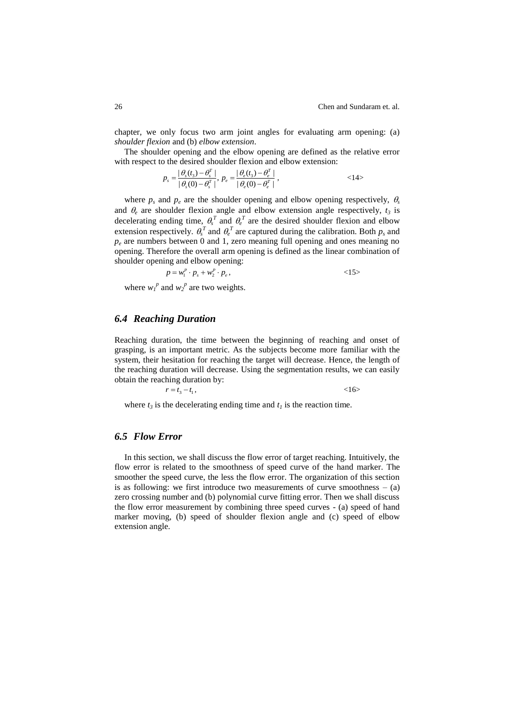chapter, we only focus two arm joint angles for evaluating arm opening: (a) *shoulder flexion* and (b) *elbow extension*.

The shoulder opening and the elbow opening are defined as the relative error with respect to the desired shoulder flexion and elbow extension:

$$
p_s = \frac{|\theta_s(t_3) - \theta_s^T|}{|\theta_s(0) - \theta_s^T|}, \ p_e = \frac{|\theta_e(t_3) - \theta_e^T|}{|\theta_e(0) - \theta_e^T|}, \tag{14}
$$

where  $p_s$  and  $p_e$  are the shoulder opening and elbow opening respectively,  $\theta_s$ and  $\theta$  are shoulder flexion angle and elbow extension angle respectively,  $t_3$  is decelerating ending time,  $\theta_s^T$  and  $\theta_e^T$  are the desired shoulder flexion and elbow extension respectively.  $\theta_s^T$  and  $\theta_e^T$  are captured during the calibration. Both  $p_s$  and *p*<sub>*e*</sub> are numbers between 0 and 1, zero meaning full opening and ones meaning no opening. Therefore the overall arm opening is defined as the linear combination of shoulder opening and elbow opening:

$$
p = w_1^p \cdot p_s + w_2^p \cdot p_e, \qquad \qquad \le 15>
$$

where  $w_1^p$  and  $w_2^p$  are two weights.

## *6.4 Reaching Duration*

Reaching duration, the time between the beginning of reaching and onset of grasping, is an important metric. As the subjects become more familiar with the system, their hesitation for reaching the target will decrease. Hence, the length of the reaching duration will decrease. Using the segmentation results, we can easily obtain the reaching duration by:

 $r = t_3 - t_1$ , <16>

where  $t_3$  is the decelerating ending time and  $t_1$  is the reaction time.

### *6.5 Flow Error*

In this section, we shall discuss the flow error of target reaching. Intuitively, the flow error is related to the smoothness of speed curve of the hand marker. The smoother the speed curve, the less the flow error. The organization of this section is as following: we first introduce two measurements of curve smoothness  $-$  (a) zero crossing number and (b) polynomial curve fitting error. Then we shall discuss the flow error measurement by combining three speed curves - (a) speed of hand marker moving, (b) speed of shoulder flexion angle and (c) speed of elbow extension angle.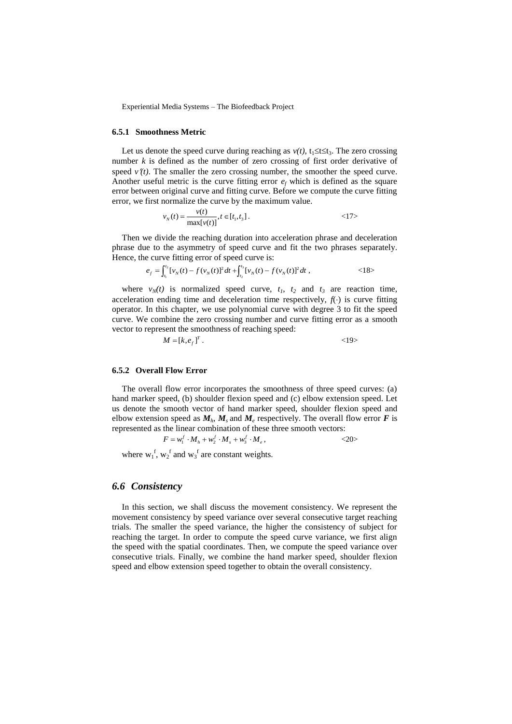#### **6.5.1 Smoothness Metric**

Let us denote the speed curve during reaching as  $v(t)$ ,  $t_1 \le t \le t_3$ . The zero crossing number *k* is defined as the number of zero crossing of first order derivative of speed  $v(t)$ . The smaller the zero crossing number, the smoother the speed curve. Another useful metric is the curve fitting error  $e_f$  which is defined as the square error between original curve and fitting curve. Before we compute the curve fitting error, we first normalize the curve by the maximum value.

$$
v_N(t) = \frac{v(t)}{\max[v(t)]}, t \in [t_1, t_3].
$$
  $\langle 17 \rangle$ 

Then we divide the reaching duration into acceleration phrase and deceleration phrase due to the asymmetry of speed curve and fit the two phrases separately. Hence, the curve fitting error of speed curve is:

$$
e_f = \int_{t_1}^{t_2} \left[ v_N(t) - f(v_N(t)) \right]^2 dt + \int_{t_2}^{t_3} \left[ v_N(t) - f(v_N(t)) \right]^2 dt , \qquad \qquad < 18>
$$

where  $v<sub>N</sub>(t)$  is normalized speed curve,  $t<sub>1</sub>$ ,  $t<sub>2</sub>$  and  $t<sub>3</sub>$  are reaction time, acceleration ending time and deceleration time respectively,  $f(\cdot)$  is curve fitting operator. In this chapter, we use polynomial curve with degree 3 to fit the speed curve. We combine the zero crossing number and curve fitting error as a smooth vector to represent the smoothness of reaching speed:

$$
M = [k, e_f]^T. \tag{19}
$$

#### **6.5.2 Overall Flow Error**

The overall flow error incorporates the smoothness of three speed curves: (a) hand marker speed, (b) shoulder flexion speed and (c) elbow extension speed. Let us denote the smooth vector of hand marker speed, shoulder flexion speed and elbow extension speed as  $M_h$ ,  $M_s$  and  $M_e$  respectively. The overall flow error *F* is represented as the linear combination of these three smooth vectors:

$$
F = w_1^f \cdot M_h + w_2^f \cdot M_s + w_3^f \cdot M_e, \qquad \langle 20 \rangle
$$

where  $w_1^f$ ,  $w_2^f$  and  $w_3^f$  are constant weights.

# *6.6 Consistency*

In this section, we shall discuss the movement consistency. We represent the movement consistency by speed variance over several consecutive target reaching trials. The smaller the speed variance, the higher the consistency of subject for reaching the target. In order to compute the speed curve variance, we first align the speed with the spatial coordinates. Then, we compute the speed variance over consecutive trials. Finally, we combine the hand marker speed, shoulder flexion speed and elbow extension speed together to obtain the overall consistency.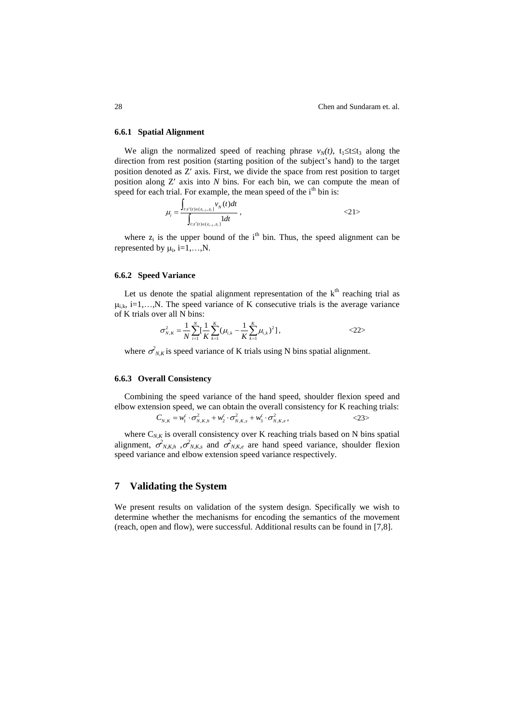#### **6.6.1 Spatial Alignment**

We align the normalized speed of reaching phrase  $v<sub>N</sub>(t)$ ,  $t<sub>1</sub> \le t \le t<sub>3</sub>$  along the direction from rest position (starting position of the subject's hand) to the target position denoted as Z' axis. First, we divide the space from rest position to target position along Z' axis into *N* bins. For each bin, we can compute the mean of speed for each trial. For example, the mean speed of the i<sup>th</sup> bin is:

$$
\mu_{i} = \frac{\int_{t:z'(t)\in(z_{i-1},z_{i}]}\nu_{N}(t)dt}{\int_{t:z'(t)\in(z_{i-1},z_{i}]}\,1dt}\,,\tag{21}
$$

where  $z_i$  is the upper bound of the i<sup>th</sup> bin. Thus, the speed alignment can be represented by  $\mu_i$ , i=1,...,N.

#### **6.6.2 Speed Variance**

Let us denote the spatial alignment representation of the  $k<sup>th</sup>$  reaching trial as  $\mu_{ik}$ , i=1,...,N. The speed variance of K consecutive trials is the average variance of K trials over all N bins:

$$
\sigma_{N,K}^2 = \frac{1}{N} \sum_{i=1}^N \left[ \frac{1}{K} \sum_{k=1}^K (\mu_{i,k} - \frac{1}{K} \sum_{k=1}^K \mu_{i,k})^2 \right],
$$

where  $\sigma_{N,K}^2$  is speed variance of K trials using N bins spatial alignment.

#### **6.6.3 Overall Consistency**

Combining the speed variance of the hand speed, shoulder flexion speed and elbow extension speed, we can obtain the overall consistency for K reaching trials:<br>  $C_{N,K} = w_1^c \cdot \sigma_{N,K,h}^2 + w_2^c \cdot \sigma_{N,K,s}^2 + w_3^c \cdot \sigma_{N,K,e}^2$ , <23>

$$
C_{N,K} = w_1^c \cdot \sigma_{N,K,h}^2 + w_2^c \cdot \sigma_{N,K,s}^2 + w_3^c \cdot \sigma_{N,K,e}^2, \qquad \qquad \leq 23>
$$

where  $C_{N,K}$  is overall consistency over K reaching trials based on N bins spatial alignment,  $\sigma_{N,K,h}^2$ ,  $\sigma_{N,K,s}^2$  and  $\sigma_{N,K,e}^2$  are hand speed variance, shoulder flexion speed variance and elbow extension speed variance respectively.

# **7 Validating the System**

We present results on validation of the system design. Specifically we wish to determine whether the mechanisms for encoding the semantics of the movement (reach, open and flow), were successful. Additional results can be found in [7,8].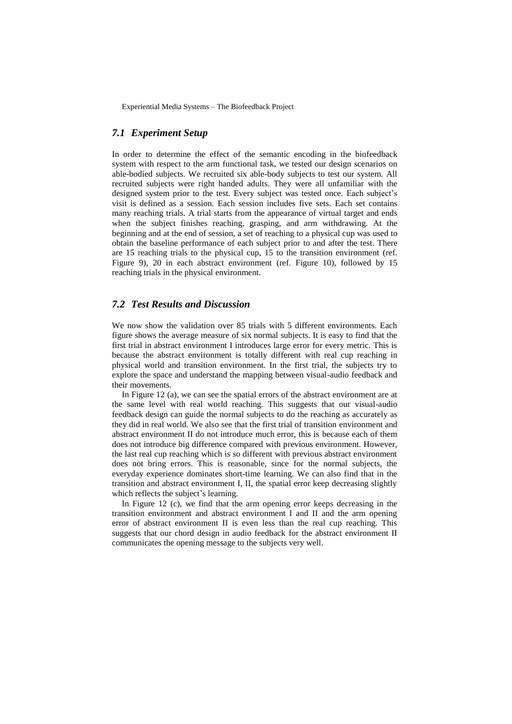### *7.1 Experiment Setup*

In order to determine the effect of the semantic encoding in the biofeedback system with respect to the arm functional task, we tested our design scenarios on able-bodied subjects. We recruited six able-body subjects to test our system. All recruited subjects were right handed adults. They were all unfamiliar with the designed system prior to the test. Every subject was tested once. Each subject's visit is defined as a session. Each session includes five sets. Each set contains many reaching trials. A trial starts from the appearance of virtual target and ends when the subject finishes reaching, grasping, and arm withdrawing. At the beginning and at the end of session, a set of reaching to a physical cup was used to obtain the baseline performance of each subject prior to and after the test. There are 15 reaching trials to the physical cup, 15 to the transition environment (ref. [Figure 9\)](#page-20-0), 20 in each abstract environment (ref. [Figure 10\)](#page-21-0), followed by 15 reaching trials in the physical environment.

# *7.2 Test Results and Discussion*

We now show the validation over 85 trials with 5 different environments. Each figure shows the average measure of six normal subjects. It is easy to find that the first trial in abstract environment I introduces large error for every metric. This is because the abstract environment is totally different with real cup reaching in physical world and transition environment. In the first trial, the subjects try to explore the space and understand the mapping between visual-audio feedback and their movements.

In [Figure 12](#page-29-0) (a), we can see the spatial errors of the abstract environment are at the same level with real world reaching. This suggests that our visual-audio feedback design can guide the normal subjects to do the reaching as accurately as they did in real world. We also see that the first trial of transition environment and abstract environment II do not introduce much error, this is because each of them does not introduce big difference compared with previous environment. However, the last real cup reaching which is so different with previous abstract environment does not bring errors. This is reasonable, since for the normal subjects, the everyday experience dominates short-time learning. We can also find that in the transition and abstract environment I, II, the spatial error keep decreasing slightly which reflects the subject's learning.

In [Figure 12](#page-29-0) (c), we find that the arm opening error keeps decreasing in the transition environment and abstract environment I and II and the arm opening error of abstract environment II is even less than the real cup reaching. This suggests that our chord design in audio feedback for the abstract environment II communicates the opening message to the subjects very well.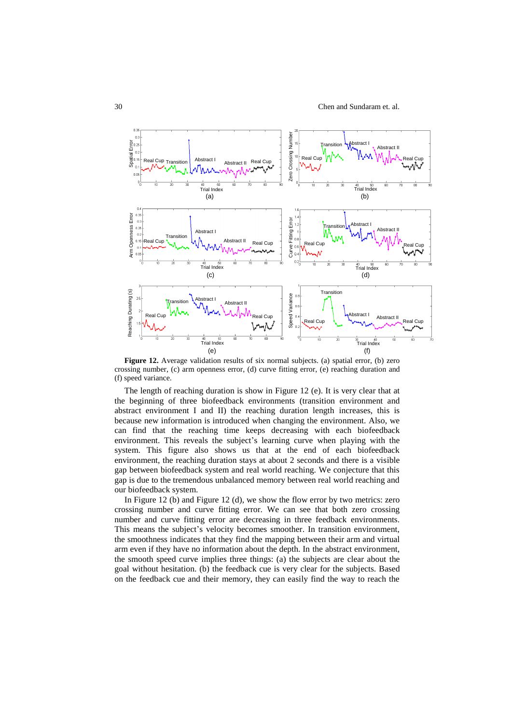

<span id="page-29-0"></span>Figure 12. Average validation results of six normal subjects. (a) spatial error, (b) zero crossing number, (c) arm openness error, (d) curve fitting error, (e) reaching duration and (f) speed variance.

The length of reaching duration is show in [Figure 12](#page-29-0) (e). It is very clear that at the beginning of three biofeedback environments (transition environment and abstract environment I and II) the reaching duration length increases, this is because new information is introduced when changing the environment. Also, we can find that the reaching time keeps decreasing with each biofeedback environment. This reveals the subject's learning curve when playing with the system. This figure also shows us that at the end of each biofeedback environment, the reaching duration stays at about 2 seconds and there is a visible gap between biofeedback system and real world reaching. We conjecture that this gap is due to the tremendous unbalanced memory between real world reaching and our biofeedback system.

I[n Figure 12](#page-29-0) (b) and [Figure 12](#page-29-0) (d), we show the flow error by two metrics: zero crossing number and curve fitting error. We can see that both zero crossing number and curve fitting error are decreasing in three feedback environments. This means the subject's velocity becomes smoother. In transition environment, the smoothness indicates that they find the mapping between their arm and virtual arm even if they have no information about the depth. In the abstract environment, the smooth speed curve implies three things: (a) the subjects are clear about the goal without hesitation. (b) the feedback cue is very clear for the subjects. Based on the feedback cue and their memory, they can easily find the way to reach the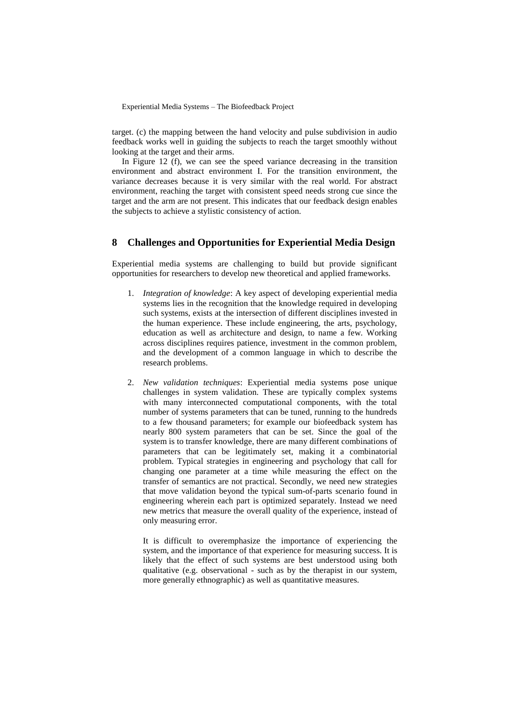target. (c) the mapping between the hand velocity and pulse subdivision in audio feedback works well in guiding the subjects to reach the target smoothly without looking at the target and their arms.

In [Figure 12](#page-29-0) (f), we can see the speed variance decreasing in the transition environment and abstract environment I. For the transition environment, the variance decreases because it is very similar with the real world. For abstract environment, reaching the target with consistent speed needs strong cue since the target and the arm are not present. This indicates that our feedback design enables the subjects to achieve a stylistic consistency of action.

# **8 Challenges and Opportunities for Experiential Media Design**

Experiential media systems are challenging to build but provide significant opportunities for researchers to develop new theoretical and applied frameworks.

- 1. *Integration of knowledge*: A key aspect of developing experiential media systems lies in the recognition that the knowledge required in developing such systems, exists at the intersection of different disciplines invested in the human experience. These include engineering, the arts, psychology, education as well as architecture and design, to name a few. Working across disciplines requires patience, investment in the common problem, and the development of a common language in which to describe the research problems.
- 2. *New validation techniques*: Experiential media systems pose unique challenges in system validation. These are typically complex systems with many interconnected computational components, with the total number of systems parameters that can be tuned, running to the hundreds to a few thousand parameters; for example our biofeedback system has nearly 800 system parameters that can be set. Since the goal of the system is to transfer knowledge, there are many different combinations of parameters that can be legitimately set, making it a combinatorial problem. Typical strategies in engineering and psychology that call for changing one parameter at a time while measuring the effect on the transfer of semantics are not practical. Secondly, we need new strategies that move validation beyond the typical sum-of-parts scenario found in engineering wherein each part is optimized separately. Instead we need new metrics that measure the overall quality of the experience, instead of only measuring error.

It is difficult to overemphasize the importance of experiencing the system, and the importance of that experience for measuring success. It is likely that the effect of such systems are best understood using both qualitative (e.g. observational - such as by the therapist in our system, more generally ethnographic) as well as quantitative measures.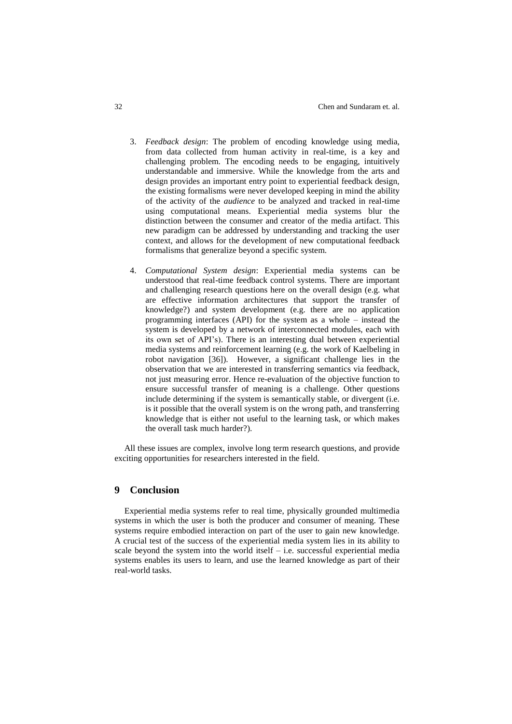- 3. *Feedback design*: The problem of encoding knowledge using media, from data collected from human activity in real-time, is a key and challenging problem. The encoding needs to be engaging, intuitively understandable and immersive. While the knowledge from the arts and design provides an important entry point to experiential feedback design, the existing formalisms were never developed keeping in mind the ability of the activity of the *audience* to be analyzed and tracked in real-time using computational means. Experiential media systems blur the distinction between the consumer and creator of the media artifact. This new paradigm can be addressed by understanding and tracking the user context, and allows for the development of new computational feedback formalisms that generalize beyond a specific system.
- 4. *Computational System design*: Experiential media systems can be understood that real-time feedback control systems. There are important and challenging research questions here on the overall design (e.g. what are effective information architectures that support the transfer of knowledge?) and system development (e.g. there are no application programming interfaces (API) for the system as a whole – instead the system is developed by a network of interconnected modules, each with its own set of API's). There is an interesting dual between experiential media systems and reinforcement learning (e.g. the work of Kaelbeling in robot navigation [36]). However, a significant challenge lies in the observation that we are interested in transferring semantics via feedback, not just measuring error. Hence re-evaluation of the objective function to ensure successful transfer of meaning is a challenge. Other questions include determining if the system is semantically stable, or divergent (i.e. is it possible that the overall system is on the wrong path, and transferring knowledge that is either not useful to the learning task, or which makes the overall task much harder?).

All these issues are complex, involve long term research questions, and provide exciting opportunities for researchers interested in the field.

## **9 Conclusion**

Experiential media systems refer to real time, physically grounded multimedia systems in which the user is both the producer and consumer of meaning. These systems require embodied interaction on part of the user to gain new knowledge. A crucial test of the success of the experiential media system lies in its ability to scale beyond the system into the world itself – i.e. successful experiential media systems enables its users to learn, and use the learned knowledge as part of their real-world tasks.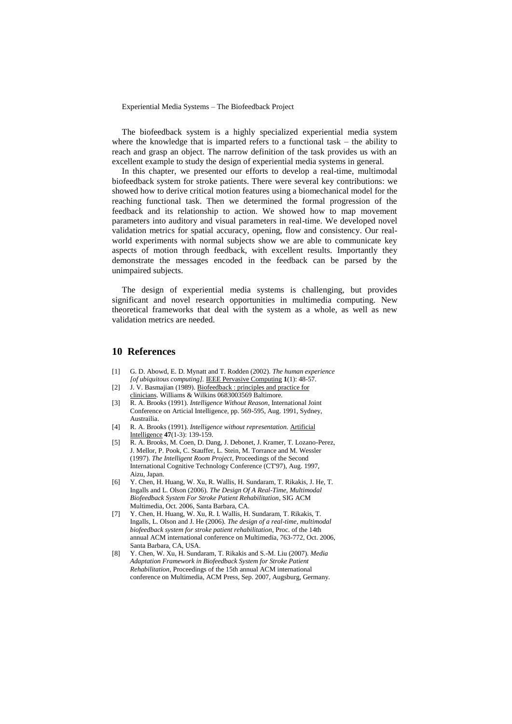The biofeedback system is a highly specialized experiential media system where the knowledge that is imparted refers to a functional task – the ability to reach and grasp an object. The narrow definition of the task provides us with an excellent example to study the design of experiential media systems in general.

In this chapter, we presented our efforts to develop a real-time, multimodal biofeedback system for stroke patients. There were several key contributions: we showed how to derive critical motion features using a biomechanical model for the reaching functional task. Then we determined the formal progression of the feedback and its relationship to action. We showed how to map movement parameters into auditory and visual parameters in real-time. We developed novel validation metrics for spatial accuracy, opening, flow and consistency. Our realworld experiments with normal subjects show we are able to communicate key aspects of motion through feedback, with excellent results. Importantly they demonstrate the messages encoded in the feedback can be parsed by the unimpaired subjects.

The design of experiential media systems is challenging, but provides significant and novel research opportunities in multimedia computing. New theoretical frameworks that deal with the system as a whole, as well as new validation metrics are needed.

## **10 References**

- [1] G. D. Abowd, E. D. Mynatt and T. Rodden (2002). *The human experience [of ubiquitous computing].* IEEE Pervasive Computing **1**(1): 48-57.
- [2] J. V. Basmajian (1989). Biofeedback : principles and practice for clinicians. Williams & Wilkins 0683003569 Baltimore.
- [3] R. A. Brooks (1991). *Intelligence Without Reason*, International Joint Conference on Articial Intelligence, pp. 569-595, Aug. 1991, Sydney, Austrailia.
- [4] R. A. Brooks (1991). *Intelligence without representation.* Artificial Intelligence **47**(1-3): 139-159.
- [5] R. A. Brooks, M. Coen, D. Dang, J. Debonet, J. Kramer, T. Lozano-Perez, J. Mellor, P. Pook, C. Stauffer, L. Stein, M. Torrance and M. Wessler (1997). *The Intelligent Room Project*, Proceedings of the Second International Cognitive Technology Conference (CT'97), Aug. 1997, Aizu, Japan.
- [6] Y. Chen, H. Huang, W. Xu, R. Wallis, H. Sundaram, T. Rikakis, J. He, T. Ingalls and L. Olson (2006). *The Design Of A Real-Time, Multimodal Biofeedback System For Stroke Patient Rehabilitation*, SIG ACM Multimedia, Oct. 2006, Santa Barbara, CA.
- [7] Y. Chen, H. Huang, W. Xu, R. I. Wallis, H. Sundaram, T. Rikakis, T. Ingalls, L. Olson and J. He (2006). *The design of a real-time, multimodal biofeedback system for stroke patient rehabilitation*, Proc. of the 14th annual ACM international conference on Multimedia, 763-772, Oct. 2006, Santa Barbara, CA, USA.
- [8] Y. Chen, W. Xu, H. Sundaram, T. Rikakis and S.-M. Liu (2007). *Media Adaptation Framework in Biofeedback System for Stroke Patient Rehabilitation*, Proceedings of the 15th annual ACM international conference on Multimedia, ACM Press, Sep. 2007, Augsburg, Germany.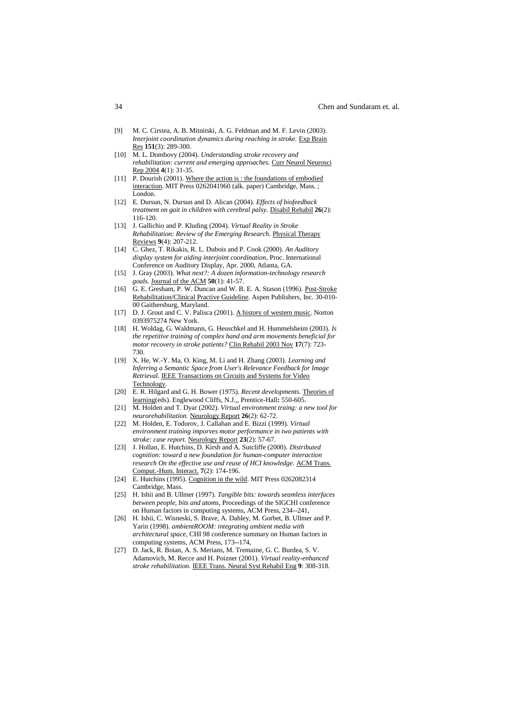- [9] M. C. Cirstea, A. B. Mitnitski, A. G. Feldman and M. F. Levin (2003). *Interjoint coordination dynamics during reaching in stroke.* Exp Brain Res **151**(3): 289-300.
- [10] M. L. Dombovy (2004). *Understanding stroke recovery and rehabilitation: current and emerging approaches.* Curr Neurol Neurosci Rep 2004 **4**(1): 31-35.
- [11] P. Dourish (2001). Where the action is : the foundations of embodied interaction. MIT Press 0262041960 (alk. paper) Cambridge, Mass. ; London.
- [12] E. Dursun, N. Dursun and D. Alican (2004). *Effects of biofeedback treatment on gait in children with cerebral palsy.* Disabil Rehabil **26**(2): 116-120.
- [13] J. Gallichio and P. Kluding (2004). *Virtual Reality in Stroke Rehabilitation: Review of the Emerging Research.* Physical Therapy Reviews **9**(4): 207-212.
- [14] C. Ghez, T. Rikakis, R. L. Dubois and P. Cook (2000). *An Auditory display system for aiding interjoint coordination*, Proc. International Conference on Auditory Display, Apr. 2000, Atlanta, GA.
- [15] J. Gray (2003). *What next?: A dozen information-technology research goals.* Journal of the ACM **50**(1): 41-57.
- [16] G. E. Gresham, P. W. Duncan and W. B. E. A. Stason (1996). Post-Stroke Rehabilitation/Clinical Practive Guideline. Aspen Publishers, Inc. 30-010- 00 Gaithersburg, Maryland.
- [17] D. J. Grout and C. V. Palisca (2001). A history of western music. Norton 0393975274 New York.
- [18] H. Woldag, G. Waldmann, G. Heuschkel and H. Hummelsheim (2003). *Is the repetitive training of complex hand and arm movements beneficial for motor recovery in stroke patients?* Clin Rehabil 2003 Nov **17**(7): 723- 730.
- [19] X. He, W.-Y. Ma, O. King, M. Li and H. Zhang (2003). *Learning and Inferring a Semantic Space from User's Relevance Feedback for Image Retrieval.* IEEE Transactions on Circuits and Systems for Video Technology.
- [20] E. R. Hilgard and G. H. Bower (1975). *Recent developments*. Theories of learning(eds). Englewood Cliffs, N.J.,, Prentice-Hall**:** 550-605.
- [21] M. Holden and T. Dyar (2002). *Virtual environment traing: a new tool for neurorehabilitation.* Neurology Report **26**(2): 62-72.
- [22] M. Holden, E. Todorov, J. Callahan and E. Bizzi (1999). *Virtual environment training imporves motor performance in two patients with stroke: case report.* Neurology Report **23**(2): 57-67.
- [23] J. Hollan, E. Hutchins, D. Kirsh and A. Sutcliffe (2000). *Distributed cognition: toward a new foundation for human-computer interaction research On the effective use and reuse of HCI knowledge.* ACM Trans. Comput.-Hum. Interact. **7**(2): 174-196.
- [24] E. Hutchins (1995).  $\overline{\text{Cognition in the wild}}$ . MIT Press 0262082314 Cambridge, Mass.
- [25] H. Ishii and B. Ullmer (1997). *Tangible bits: towards seamless interfaces between people, bits and atoms*, Proceedings of the SIGCHI conference on Human factors in computing systems, ACM Press, 234--241,
- [26] H. Ishii, C. Wisneski, S. Brave, A. Dahley, M. Gorbet, B. Ullmer and P. Yarin (1998). *ambientROOM: integrating ambient media with architectural space*, CHI 98 conference summary on Human factors in computing systems, ACM Press, 173--174,
- [27] D. Jack, R. Boian, A. S. Merians, M. Tremaine, G. C. Burdea, S. V. Adamovich, M. Recce and H. Poizner (2001). *Virtual reality-enhanced stroke rehabilitation.* IEEE Trans. Neural Syst Rehabil Eng **9**: 308-318.